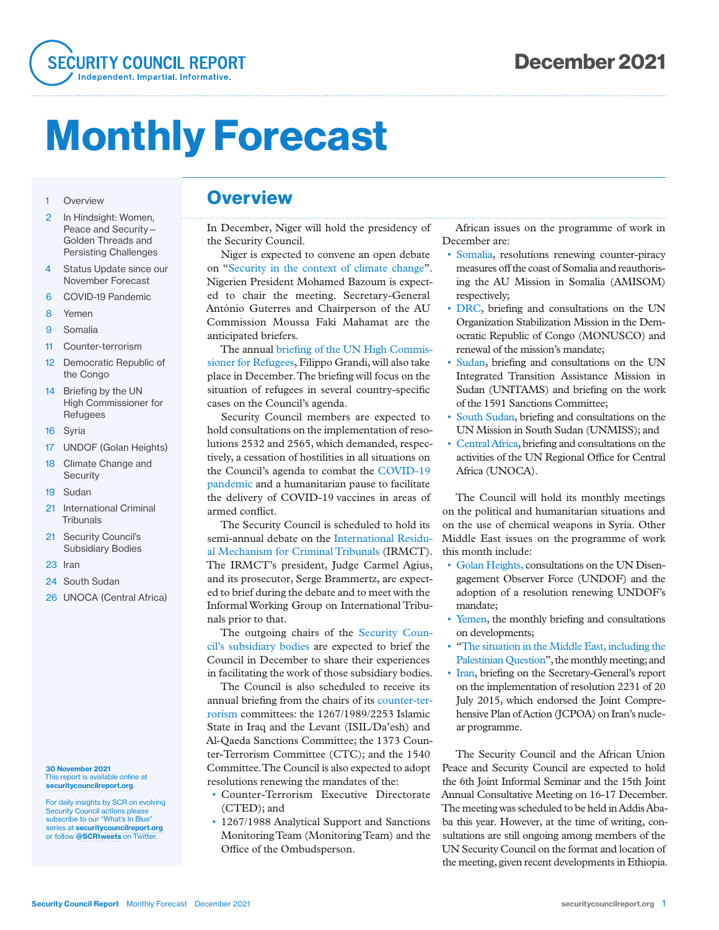

# Monthly Forecast

#### 1 Overview

- 2 In Hindsight: Women, Peace and Security— Golden Threads and Persisting Challenges
- 4 Status Update since our November Forecast
- 6 COVID-19 Pandemic
- 8 Yemen
- 9 Somalia
- 11 Counter-terrorism
- 12 Democratic Republic of the Congo
- 14 Briefing by the UN High Commissioner for Refugees
- 16 Syria
- 17 UNDOF (Golan Heights)
- 18 Climate Change and **Security**
- 19 Sudan
- 21 International Criminal **Tribunals**
- 21 Security Council's Subsidiary Bodies
- 23 Iran
- 24 South Sudan
- 26 UNOCA (Central Africa)

#### 30 November 2021 This report is available online at securitycouncilreport.org.

For daily insights by SCR on evolving Security Council actions please subscribe to our "What's In Blue" series at securitycouncilreport.org or follow @SCRtweets on Twitter.

### **Overview**

In December, Niger will hold the presidency of the Security Council.

Niger is expected to convene an open debate on "Security in the context of climate change". Nigerien President Mohamed Bazoum is expected to chair the meeting. Secretary-General António Guterres and Chairperson of the AU Commission Moussa Faki Mahamat are the anticipated briefers.

The annual briefing of the UN High Commissioner for Refugees, Filippo Grandi, will also take place in December. The briefing will focus on the situation of refugees in several country-specific cases on the Council's agenda.

Security Council members are expected to hold consultations on the implementation of resolutions 2532 and 2565, which demanded, respectively, a cessation of hostilities in all situations on the Council's agenda to combat the COVID-19 pandemic and a humanitarian pause to facilitate the delivery of COVID-19 vaccines in areas of armed conflict.

The Security Council is scheduled to hold its semi-annual debate on the International Residual Mechanism for Criminal Tribunals (IRMCT). The IRMCT's president, Judge Carmel Agius, and its prosecutor, Serge Brammertz, are expected to brief during the debate and to meet with the Informal Working Group on International Tribunals prior to that.

The outgoing chairs of the Security Council's subsidiary bodies are expected to brief the Council in December to share their experiences in facilitating the work of those subsidiary bodies.

The Council is also scheduled to receive its annual briefing from the chairs of its counter-terrorism committees: the 1267/1989/2253 Islamic State in Iraq and the Levant (ISIL/Da'esh) and Al-Qaeda Sanctions Committee; the 1373 Counter-Terrorism Committee (CTC); and the 1540 Committee. The Council is also expected to adopt resolutions renewing the mandates of the:

- Counter-Terrorism Executive Directorate (CTED); and
- 1267/1988 Analytical Support and Sanctions Monitoring Team (Monitoring Team) and the Office of the Ombudsperson.

African issues on the programme of work in December are:

- Somalia, resolutions renewing counter-piracy measures off the coast of Somalia and reauthorising the AU Mission in Somalia (AMISOM) respectively;
- DRC, briefing and consultations on the UN Organization Stabilization Mission in the Democratic Republic of Congo (MONUSCO) and renewal of the mission's mandate;
- Sudan, briefing and consultations on the UN Integrated Transition Assistance Mission in Sudan (UNITAMS) and briefing on the work of the 1591 Sanctions Committee;
- South Sudan, briefing and consultations on the UN Mission in South Sudan (UNMISS); and
- Central Africa, briefing and consultations on the activities of the UN Regional Office for Central Africa (UNOCA).

The Council will hold its monthly meetings on the political and humanitarian situations and on the use of chemical weapons in Syria. Other Middle East issues on the programme of work this month include:

- Golan Heights, consultations on the UN Disengagement Observer Force (UNDOF) and the adoption of a resolution renewing UNDOF's mandate;
- Yemen, the monthly briefing and consultations on developments;
- "The situation in the Middle East, including the Palestinian Question", the monthly meeting; and
- Iran, briefing on the Secretary-General's report on the implementation of resolution 2231 of 20 July 2015, which endorsed the Joint Comprehensive Plan of Action (JCPOA) on Iran's nuclear programme.

The Security Council and the African Union Peace and Security Council are expected to hold the 6th Joint Informal Seminar and the 15th Joint Annual Consultative Meeting on 16-17 December. The meeting was scheduled to be held in Addis Ababa this year. However, at the time of writing, consultations are still ongoing among members of the UN Security Council on the format and location of the meeting, given recent developments in Ethiopia.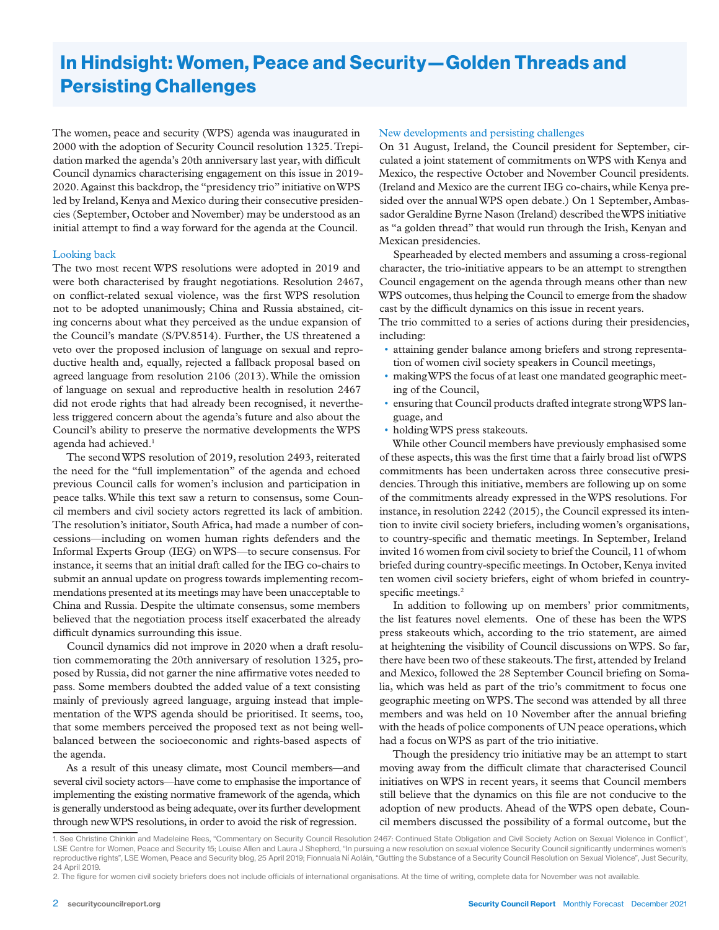# In Hindsight: Women, Peace and Security—Golden Threads and Persisting Challenges

The women, peace and security (WPS) agenda was inaugurated in 2000 with the adoption of Security Council resolution 1325. Trepidation marked the agenda's 20th anniversary last year, with difficult Council dynamics characterising engagement on this issue in 2019- 2020. Against this backdrop, the "presidency trio" initiative on WPS led by Ireland, Kenya and Mexico during their consecutive presidencies (September, October and November) may be understood as an initial attempt to find a way forward for the agenda at the Council.

#### Looking back

The two most recent WPS resolutions were adopted in 2019 and were both characterised by fraught negotiations. Resolution 2467, on conflict-related sexual violence, was the first WPS resolution not to be adopted unanimously; China and Russia abstained, citing concerns about what they perceived as the undue expansion of the Council's mandate (S/PV.8514). Further, the US threatened a veto over the proposed inclusion of language on sexual and reproductive health and, equally, rejected a fallback proposal based on agreed language from resolution 2106 (2013). While the omission of language on sexual and reproductive health in resolution 2467 did not erode rights that had already been recognised, it nevertheless triggered concern about the agenda's future and also about the Council's ability to preserve the normative developments the WPS agenda had achieved.<sup>1</sup>

The second WPS resolution of 2019, resolution 2493, reiterated the need for the "full implementation" of the agenda and echoed previous Council calls for women's inclusion and participation in peace talks. While this text saw a return to consensus, some Council members and civil society actors regretted its lack of ambition. The resolution's initiator, South Africa, had made a number of concessions—including on women human rights defenders and the Informal Experts Group (IEG) on WPS—to secure consensus. For instance, it seems that an initial draft called for the IEG co-chairs to submit an annual update on progress towards implementing recommendations presented at its meetings may have been unacceptable to China and Russia. Despite the ultimate consensus, some members believed that the negotiation process itself exacerbated the already difficult dynamics surrounding this issue.

Council dynamics did not improve in 2020 when a draft resolution commemorating the 20th anniversary of resolution 1325, proposed by Russia, did not garner the nine affirmative votes needed to pass. Some members doubted the added value of a text consisting mainly of previously agreed language, arguing instead that implementation of the WPS agenda should be prioritised. It seems, too, that some members perceived the proposed text as not being wellbalanced between the socioeconomic and rights-based aspects of the agenda.

As a result of this uneasy climate, most Council members—and several civil society actors—have come to emphasise the importance of implementing the existing normative framework of the agenda, which is generally understood as being adequate, over its further development through new WPS resolutions, in order to avoid the risk of regression.

#### New developments and persisting challenges

On 31 August, Ireland, the Council president for September, circulated a joint statement of commitments on WPS with Kenya and Mexico, the respective October and November Council presidents. (Ireland and Mexico are the current IEG co-chairs, while Kenya presided over the annual WPS open debate.) On 1 September, Ambassador Geraldine Byrne Nason (Ireland) described the WPS initiative as "a golden thread" that would run through the Irish, Kenyan and Mexican presidencies.

Spearheaded by elected members and assuming a cross-regional character, the trio-initiative appears to be an attempt to strengthen Council engagement on the agenda through means other than new WPS outcomes, thus helping the Council to emerge from the shadow cast by the difficult dynamics on this issue in recent years.

The trio committed to a series of actions during their presidencies, including:

- attaining gender balance among briefers and strong representation of women civil society speakers in Council meetings,
- making WPS the focus of at least one mandated geographic meeting of the Council,
- ensuring that Council products drafted integrate strong WPS language, and
- holding WPS press stakeouts.

While other Council members have previously emphasised some of these aspects, this was the first time that a fairly broad list of WPS commitments has been undertaken across three consecutive presidencies. Through this initiative, members are following up on some of the commitments already expressed in the WPS resolutions. For instance, in resolution 2242 (2015), the Council expressed its intention to invite civil society briefers, including women's organisations, to country-specific and thematic meetings. In September, Ireland invited 16 women from civil society to brief the Council, 11 of whom briefed during country-specific meetings. In October, Kenya invited ten women civil society briefers, eight of whom briefed in countryspecific meetings.<sup>2</sup>

In addition to following up on members' prior commitments, the list features novel elements. One of these has been the WPS press stakeouts which, according to the trio statement, are aimed at heightening the visibility of Council discussions on WPS. So far, there have been two of these stakeouts. The first, attended by Ireland and Mexico, followed the 28 September Council briefing on Somalia, which was held as part of the trio's commitment to focus one geographic meeting on WPS. The second was attended by all three members and was held on 10 November after the annual briefing with the heads of police components of UN peace operations, which had a focus on WPS as part of the trio initiative.

Though the presidency trio initiative may be an attempt to start moving away from the difficult climate that characterised Council initiatives on WPS in recent years, it seems that Council members still believe that the dynamics on this file are not conducive to the adoption of new products. Ahead of the WPS open debate, Council members discussed the possibility of a formal outcome, but the

<sup>1.</sup> See Christine Chinkin and Madeleine Rees, "Commentary on Security Council Resolution 2467: Continued State Obligation and Civil Society Action on Sexual Violence in Conflict", LSE Centre for Women, Peace and Security 15; Louise Allen and Laura J Shepherd, "In pursuing a new resolution on sexual violence Security Council significantly undermines women's reproductive rights", LSE Women, Peace and Security blog, 25 April 2019; Fionnuala Ní Aoláin, "Gutting the Substance of a Security Council Resolution on Sexual Violence", Just Security, 24 April 2019.

<sup>2.</sup> The figure for women civil society briefers does not include officials of international organisations. At the time of writing, complete data for November was not available.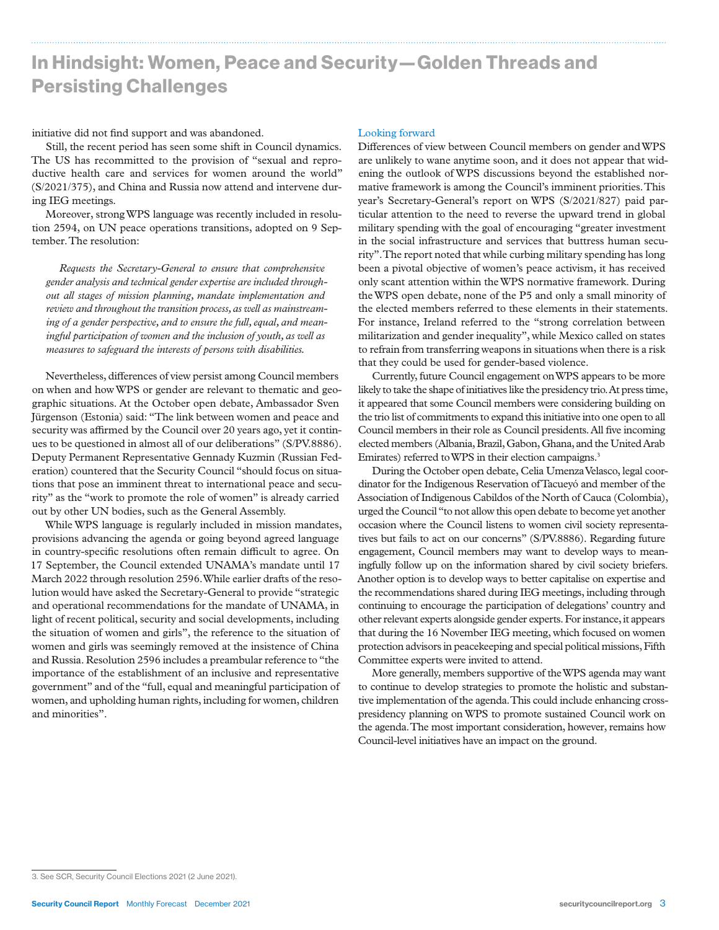# In Hindsight: Women, Peace and Security—Golden Threads and Persisting Challenges

initiative did not find support and was abandoned.

Still, the recent period has seen some shift in Council dynamics. The US has recommitted to the provision of "sexual and reproductive health care and services for women around the world" (S/2021/375), and China and Russia now attend and intervene during IEG meetings.

Moreover, strong WPS language was recently included in resolution 2594, on UN peace operations transitions, adopted on 9 September. The resolution:

*Requests the Secretary-General to ensure that comprehensive gender analysis and technical gender expertise are included throughout all stages of mission planning, mandate implementation and review and throughout the transition process, as well as mainstreaming of a gender perspective, and to ensure the full, equal, and meaningful participation of women and the inclusion of youth, as well as measures to safeguard the interests of persons with disabilities.*

Nevertheless, differences of view persist among Council members on when and how WPS or gender are relevant to thematic and geographic situations. At the October open debate, Ambassador Sven Jürgenson (Estonia) said: "The link between women and peace and security was affirmed by the Council over 20 years ago, yet it continues to be questioned in almost all of our deliberations" (S/PV.8886). Deputy Permanent Representative Gennady Kuzmin (Russian Federation) countered that the Security Council "should focus on situations that pose an imminent threat to international peace and security" as the "work to promote the role of women" is already carried out by other UN bodies, such as the General Assembly.

While WPS language is regularly included in mission mandates, provisions advancing the agenda or going beyond agreed language in country-specific resolutions often remain difficult to agree. On 17 September, the Council extended UNAMA's mandate until 17 March 2022 through resolution 2596. While earlier drafts of the resolution would have asked the Secretary-General to provide "strategic and operational recommendations for the mandate of UNAMA, in light of recent political, security and social developments, including the situation of women and girls", the reference to the situation of women and girls was seemingly removed at the insistence of China and Russia. Resolution 2596 includes a preambular reference to "the importance of the establishment of an inclusive and representative government" and of the "full, equal and meaningful participation of women, and upholding human rights, including for women, children and minorities".

#### Looking forward

Differences of view between Council members on gender and WPS are unlikely to wane anytime soon, and it does not appear that widening the outlook of WPS discussions beyond the established normative framework is among the Council's imminent priorities. This year's Secretary-General's report on WPS (S/2021/827) paid particular attention to the need to reverse the upward trend in global military spending with the goal of encouraging "greater investment in the social infrastructure and services that buttress human security". The report noted that while curbing military spending has long been a pivotal objective of women's peace activism, it has received only scant attention within the WPS normative framework. During the WPS open debate, none of the P5 and only a small minority of the elected members referred to these elements in their statements. For instance, Ireland referred to the "strong correlation between militarization and gender inequality", while Mexico called on states to refrain from transferring weapons in situations when there is a risk that they could be used for gender-based violence.

Currently, future Council engagement on WPS appears to be more likely to take the shape of initiatives like the presidency trio. At press time, it appeared that some Council members were considering building on the trio list of commitments to expand this initiative into one open to all Council members in their role as Council presidents. All five incoming elected members (Albania, Brazil, Gabon, Ghana, and the United Arab Emirates) referred to WPS in their election campaigns.<sup>3</sup>

During the October open debate, Celia Umenza Velasco, legal coordinator for the Indigenous Reservation of Tacueyó and member of the Association of Indigenous Cabildos of the North of Cauca (Colombia), urged the Council "to not allow this open debate to become yet another occasion where the Council listens to women civil society representatives but fails to act on our concerns" (S/PV.8886). Regarding future engagement, Council members may want to develop ways to meaningfully follow up on the information shared by civil society briefers. Another option is to develop ways to better capitalise on expertise and the recommendations shared during IEG meetings, including through continuing to encourage the participation of delegations' country and other relevant experts alongside gender experts. For instance, it appears that during the 16 November IEG meeting, which focused on women protection advisors in peacekeeping and special political missions, Fifth Committee experts were invited to attend.

More generally, members supportive of the WPS agenda may want to continue to develop strategies to promote the holistic and substantive implementation of the agenda. This could include enhancing crosspresidency planning on WPS to promote sustained Council work on the agenda. The most important consideration, however, remains how Council-level initiatives have an impact on the ground.

<sup>3.</sup> See SCR, Security Council Elections 2021 (2 June 2021).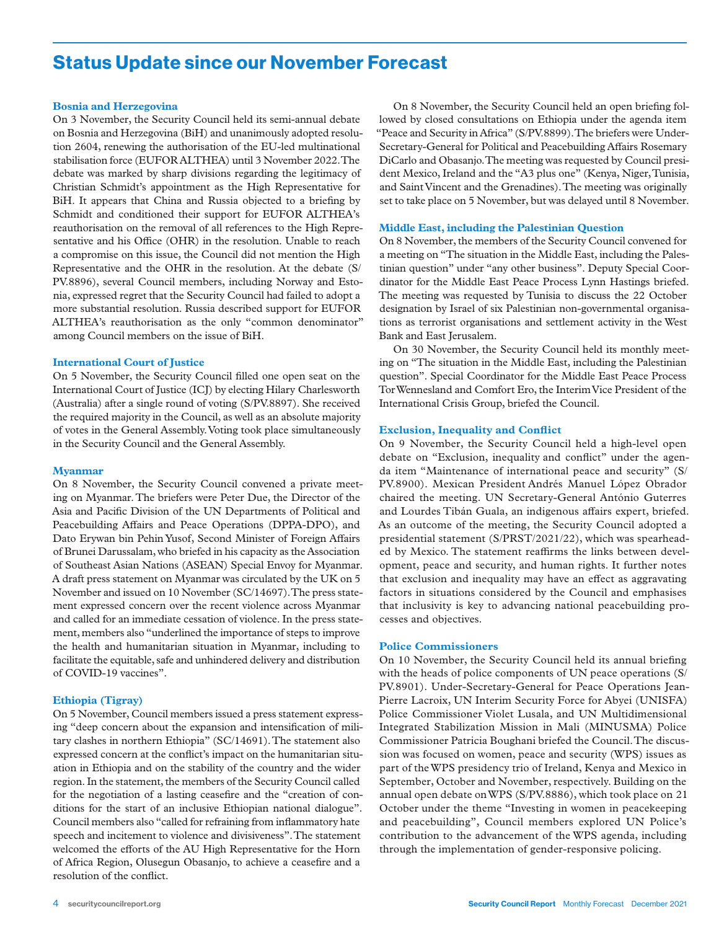### Status Update since our November Forecast

#### **Bosnia and Herzegovina**

On 3 November, the Security Council held its semi-annual debate on Bosnia and Herzegovina (BiH) and unanimously adopted resolution 2604, renewing the authorisation of the EU-led multinational stabilisation force (EUFOR ALTHEA) until 3 November 2022. The debate was marked by sharp divisions regarding the legitimacy of Christian Schmidt's appointment as the High Representative for BiH. It appears that China and Russia objected to a briefing by Schmidt and conditioned their support for EUFOR ALTHEA's reauthorisation on the removal of all references to the High Representative and his Office (OHR) in the resolution. Unable to reach a compromise on this issue, the Council did not mention the High Representative and the OHR in the resolution. At the debate (S/ PV.8896), several Council members, including Norway and Estonia, expressed regret that the Security Council had failed to adopt a more substantial resolution. Russia described support for EUFOR ALTHEA's reauthorisation as the only "common denominator" among Council members on the issue of BiH.

#### **International Court of Justice**

On 5 November, the Security Council filled one open seat on the International Court of Justice (ICJ) by electing Hilary Charlesworth (Australia) after a single round of voting (S/PV.8897). She received the required majority in the Council, as well as an absolute majority of votes in the General Assembly.Voting took place simultaneously in the Security Council and the General Assembly.

#### **Myanmar**

On 8 November, the Security Council convened a private meeting on Myanmar. The briefers were Peter Due, the Director of the Asia and Pacific Division of the UN Departments of Political and Peacebuilding Affairs and Peace Operations (DPPA-DPO), and Dato Erywan bin Pehin Yusof, Second Minister of Foreign Affairs of Brunei Darussalam, who briefed in his capacity as the Association of Southeast Asian Nations (ASEAN) Special Envoy for Myanmar. A draft press statement on Myanmar was circulated by the UK on 5 November and issued on 10 November (SC/14697). The press statement expressed concern over the recent violence across Myanmar and called for an immediate cessation of violence. In the press statement, members also "underlined the importance of steps to improve the health and humanitarian situation in Myanmar, including to facilitate the equitable, safe and unhindered delivery and distribution of COVID-19 vaccines".

#### **Ethiopia (Tigray)**

On 5 November, Council members issued a press statement expressing "deep concern about the expansion and intensification of military clashes in northern Ethiopia" (SC/14691). The statement also expressed concern at the conflict's impact on the humanitarian situation in Ethiopia and on the stability of the country and the wider region. In the statement, the members of the Security Council called for the negotiation of a lasting ceasefire and the "creation of conditions for the start of an inclusive Ethiopian national dialogue". Council members also "called for refraining from inflammatory hate speech and incitement to violence and divisiveness". The statement welcomed the efforts of the AU High Representative for the Horn of Africa Region, Olusegun Obasanjo, to achieve a ceasefire and a resolution of the conflict.

On 8 November, the Security Council held an open briefing followed by closed consultations on Ethiopia under the agenda item "Peace and Security in Africa" (S/PV.8899). The briefers were Under-Secretary-General for Political and Peacebuilding Affairs Rosemary DiCarlo and Obasanjo. The meeting was requested by Council president Mexico, Ireland and the "A3 plus one" (Kenya, Niger, Tunisia, and Saint Vincent and the Grenadines). The meeting was originally set to take place on 5 November, but was delayed until 8 November.

#### **Middle East, including the Palestinian Question**

On 8 November, the members of the Security Council convened for a meeting on "The situation in the Middle East, including the Palestinian question" under "any other business". Deputy Special Coordinator for the Middle East Peace Process Lynn Hastings briefed. The meeting was requested by Tunisia to discuss the 22 October designation by Israel of six Palestinian non-governmental organisations as terrorist organisations and settlement activity in the West Bank and East Jerusalem.

On 30 November, the Security Council held its monthly meeting on "The situation in the Middle East, including the Palestinian question". Special Coordinator for the Middle East Peace Process Tor Wennesland and Comfort Ero, the Interim Vice President of the International Crisis Group, briefed the Council.

#### **Exclusion, Inequality and Conflict**

On 9 November, the Security Council held a high-level open debate on "Exclusion, inequality and conflict" under the agenda item "Maintenance of international peace and security" (S/ PV.8900). Mexican President Andrés Manuel López Obrador chaired the meeting. UN Secretary-General António Guterres and Lourdes Tibán Guala, an indigenous affairs expert, briefed. As an outcome of the meeting, the Security Council adopted a presidential statement (S/PRST/2021/22), which was spearheaded by Mexico. The statement reaffirms the links between development, peace and security, and human rights. It further notes that exclusion and inequality may have an effect as aggravating factors in situations considered by the Council and emphasises that inclusivity is key to advancing national peacebuilding processes and objectives.

#### **Police Commissioners**

On 10 November, the Security Council held its annual briefing with the heads of police components of UN peace operations (S/ PV.8901). Under-Secretary-General for Peace Operations Jean-Pierre Lacroix, UN Interim Security Force for Abyei (UNISFA) Police Commissioner Violet Lusala, and UN Multidimensional Integrated Stabilization Mission in Mali (MINUSMA) Police Commissioner Patricia Boughani briefed the Council. The discussion was focused on women, peace and security (WPS) issues as part of the WPS presidency trio of Ireland, Kenya and Mexico in September, October and November, respectively. Building on the annual open debate on WPS (S/PV.8886), which took place on 21 October under the theme "Investing in women in peacekeeping and peacebuilding", Council members explored UN Police's contribution to the advancement of the WPS agenda, including through the implementation of gender-responsive policing.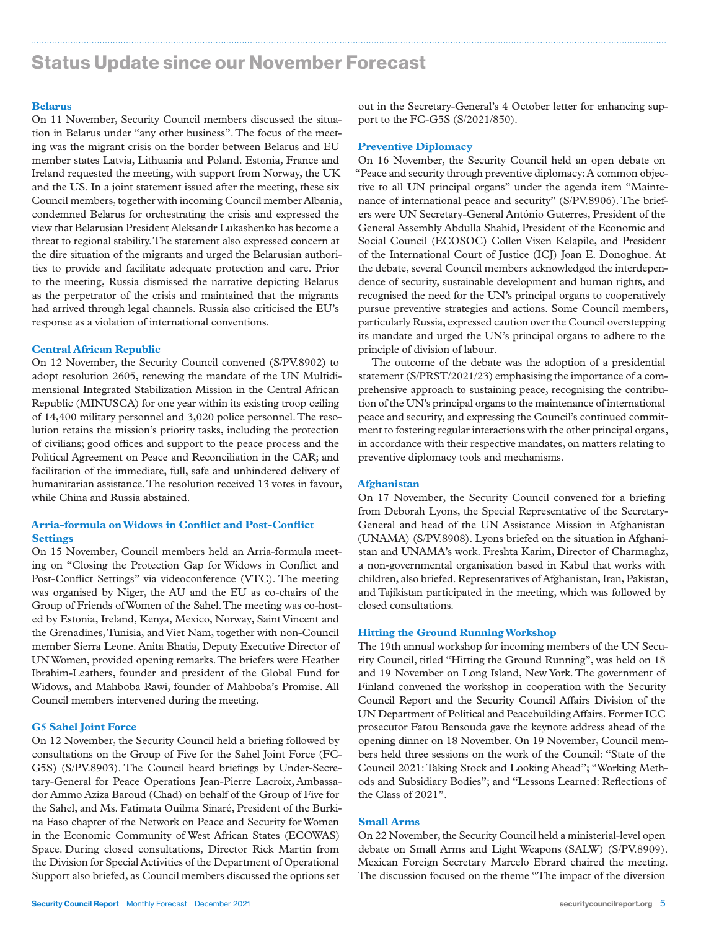# Status Update since our November Forecast

#### **Belarus**

On 11 November, Security Council members discussed the situation in Belarus under "any other business". The focus of the meeting was the migrant crisis on the border between Belarus and EU member states Latvia, Lithuania and Poland. Estonia, France and Ireland requested the meeting, with support from Norway, the UK and the US. In a joint statement issued after the meeting, these six Council members, together with incoming Council member Albania, condemned Belarus for orchestrating the crisis and expressed the view that Belarusian President Aleksandr Lukashenko has become a threat to regional stability. The statement also expressed concern at the dire situation of the migrants and urged the Belarusian authorities to provide and facilitate adequate protection and care. Prior to the meeting, Russia dismissed the narrative depicting Belarus as the perpetrator of the crisis and maintained that the migrants had arrived through legal channels. Russia also criticised the EU's response as a violation of international conventions.

#### **Central African Republic**

On 12 November, the Security Council convened (S/PV.8902) to adopt resolution 2605, renewing the mandate of the UN Multidimensional Integrated Stabilization Mission in the Central African Republic (MINUSCA) for one year within its existing troop ceiling of 14,400 military personnel and 3,020 police personnel. The resolution retains the mission's priority tasks, including the protection of civilians; good offices and support to the peace process and the Political Agreement on Peace and Reconciliation in the CAR; and facilitation of the immediate, full, safe and unhindered delivery of humanitarian assistance. The resolution received 13 votes in favour, while China and Russia abstained.

#### **Arria-formula on Widows in Conflict and Post-Conflict Settings**

On 15 November, Council members held an Arria-formula meeting on "Closing the Protection Gap for Widows in Conflict and Post-Conflict Settings" via videoconference (VTC). The meeting was organised by Niger, the AU and the EU as co-chairs of the Group of Friends of Women of the Sahel. The meeting was co-hosted by Estonia, Ireland, Kenya, Mexico, Norway, Saint Vincent and the Grenadines, Tunisia, and Viet Nam, together with non-Council member Sierra Leone. Anita Bhatia, Deputy Executive Director of UN Women, provided opening remarks. The briefers were Heather Ibrahim-Leathers, founder and president of the Global Fund for Widows, and Mahboba Rawi, founder of Mahboba's Promise. All Council members intervened during the meeting.

#### **G5 Sahel Joint Force**

On 12 November, the Security Council held a briefing followed by consultations on the Group of Five for the Sahel Joint Force (FC-G5S) (S/PV.8903). The Council heard briefings by Under-Secretary-General for Peace Operations Jean-Pierre Lacroix, Ambassador Ammo Aziza Baroud (Chad) on behalf of the Group of Five for the Sahel, and Ms. Fatimata Ouilma Sinaré, President of the Burkina Faso chapter of the Network on Peace and Security for Women in the Economic Community of West African States (ECOWAS) Space. During closed consultations, Director Rick Martin from the Division for Special Activities of the Department of Operational Support also briefed, as Council members discussed the options set

#### **Preventive Diplomacy**

On 16 November, the Security Council held an open debate on "Peace and security through preventive diplomacy: A common objective to all UN principal organs" under the agenda item "Maintenance of international peace and security" (S/PV.8906). The briefers were UN Secretary-General António Guterres, President of the General Assembly Abdulla Shahid, President of the Economic and Social Council (ECOSOC) Collen Vixen Kelapile, and President of the International Court of Justice (ICJ) Joan E. Donoghue. At the debate, several Council members acknowledged the interdependence of security, sustainable development and human rights, and recognised the need for the UN's principal organs to cooperatively pursue preventive strategies and actions. Some Council members, particularly Russia, expressed caution over the Council overstepping its mandate and urged the UN's principal organs to adhere to the principle of division of labour.

The outcome of the debate was the adoption of a presidential statement (S/PRST/2021/23) emphasising the importance of a comprehensive approach to sustaining peace, recognising the contribution of the UN's principal organs to the maintenance of international peace and security, and expressing the Council's continued commitment to fostering regular interactions with the other principal organs, in accordance with their respective mandates, on matters relating to preventive diplomacy tools and mechanisms.

#### **Afghanistan**

On 17 November, the Security Council convened for a briefing from Deborah Lyons, the Special Representative of the Secretary-General and head of the UN Assistance Mission in Afghanistan (UNAMA) (S/PV.8908). Lyons briefed on the situation in Afghanistan and UNAMA's work. Freshta Karim, Director of Charmaghz, a non-governmental organisation based in Kabul that works with children, also briefed. Representatives of Afghanistan, Iran, Pakistan, and Tajikistan participated in the meeting, which was followed by closed consultations.

#### **Hitting the Ground Running Workshop**

The 19th annual workshop for incoming members of the UN Security Council, titled "Hitting the Ground Running", was held on 18 and 19 November on Long Island, New York. The government of Finland convened the workshop in cooperation with the Security Council Report and the Security Council Affairs Division of the UN Department of Political and Peacebuilding Affairs. Former ICC prosecutor Fatou Bensouda gave the keynote address ahead of the opening dinner on 18 November. On 19 November, Council members held three sessions on the work of the Council: "State of the Council 2021: Taking Stock and Looking Ahead"; "Working Methods and Subsidiary Bodies"; and "Lessons Learned: Reflections of the Class of 2021".

#### **Small Arms**

On 22 November, the Security Council held a ministerial-level open debate on Small Arms and Light Weapons (SALW) (S/PV.8909). Mexican Foreign Secretary Marcelo Ebrard chaired the meeting. The discussion focused on the theme "The impact of the diversion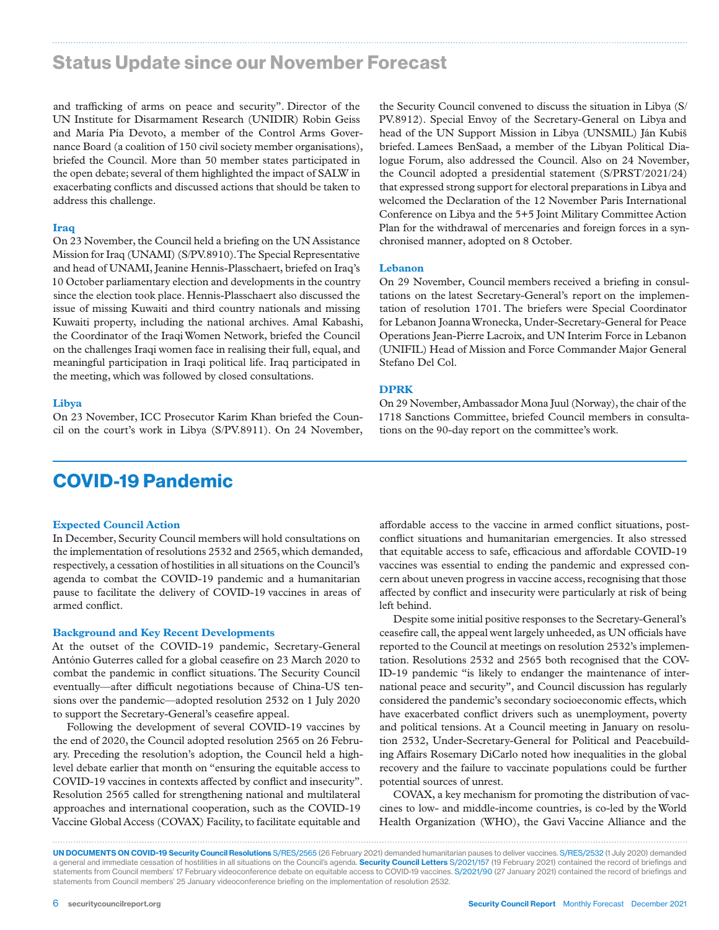### Status Update since our November Forecast

and trafficking of arms on peace and security". Director of the UN Institute for Disarmament Research (UNIDIR) Robin Geiss and María Pía Devoto, a member of the Control Arms Governance Board (a coalition of 150 civil society member organisations), briefed the Council. More than 50 member states participated in the open debate; several of them highlighted the impact of SALW in exacerbating conflicts and discussed actions that should be taken to address this challenge.

#### **Iraq**

On 23 November, the Council held a briefing on the UN Assistance Mission for Iraq (UNAMI) (S/PV.8910). The Special Representative and head of UNAMI, Jeanine Hennis-Plasschaert, briefed on Iraq's 10 October parliamentary election and developments in the country since the election took place. Hennis-Plasschaert also discussed the issue of missing Kuwaiti and third country nationals and missing Kuwaiti property, including the national archives. Amal Kabashi, the Coordinator of the Iraqi Women Network, briefed the Council on the challenges Iraqi women face in realising their full, equal, and meaningful participation in Iraqi political life. Iraq participated in the meeting, which was followed by closed consultations.

#### **Libya**

On 23 November, ICC Prosecutor Karim Khan briefed the Council on the court's work in Libya (S/PV.8911). On 24 November,

# COVID-19 Pandemic

#### **Expected Council Action**

In December, Security Council members will hold consultations on the implementation of resolutions 2532 and 2565, which demanded, respectively, a cessation of hostilities in all situations on the Council's agenda to combat the COVID-19 pandemic and a humanitarian pause to facilitate the delivery of COVID-19 vaccines in areas of armed conflict.

#### **Background and Key Recent Developments**

At the outset of the COVID-19 pandemic, Secretary-General António Guterres called for a global ceasefire on 23 March 2020 to combat the pandemic in conflict situations. The Security Council eventually—after difficult negotiations because of China-US tensions over the pandemic—adopted resolution 2532 on 1 July 2020 to support the Secretary-General's ceasefire appeal.

Following the development of several COVID-19 vaccines by the end of 2020, the Council adopted resolution 2565 on 26 February. Preceding the resolution's adoption, the Council held a highlevel debate earlier that month on "ensuring the equitable access to COVID-19 vaccines in contexts affected by conflict and insecurity". Resolution 2565 called for strengthening national and multilateral approaches and international cooperation, such as the COVID-19 Vaccine Global Access (COVAX) Facility, to facilitate equitable and

the Security Council convened to discuss the situation in Libya (S/ PV.8912). Special Envoy of the Secretary-General on Libya and head of the UN Support Mission in Libya (UNSMIL) Ján Kubiš briefed. Lamees BenSaad, a member of the Libyan Political Dialogue Forum, also addressed the Council. Also on 24 November, the Council adopted a presidential statement (S/PRST/2021/24) that expressed strong support for electoral preparations in Libya and welcomed the Declaration of the 12 November Paris International Conference on Libya and the 5+5 Joint Military Committee Action Plan for the withdrawal of mercenaries and foreign forces in a synchronised manner, adopted on 8 October.

#### **Lebanon**

On 29 November, Council members received a briefing in consultations on the latest Secretary-General's report on the implementation of resolution 1701. The briefers were Special Coordinator for Lebanon Joanna Wronecka, Under-Secretary-General for Peace Operations Jean-Pierre Lacroix, and UN Interim Force in Lebanon (UNIFIL) Head of Mission and Force Commander Major General Stefano Del Col.

#### **DPRK**

On 29 November, Ambassador Mona Juul (Norway), the chair of the 1718 Sanctions Committee, briefed Council members in consultations on the 90-day report on the committee's work.

affordable access to the vaccine in armed conflict situations, postconflict situations and humanitarian emergencies. It also stressed that equitable access to safe, efficacious and affordable COVID-19 vaccines was essential to ending the pandemic and expressed concern about uneven progress in vaccine access, recognising that those affected by conflict and insecurity were particularly at risk of being left behind.

Despite some initial positive responses to the Secretary-General's ceasefire call, the appeal went largely unheeded, as UN officials have reported to the Council at meetings on resolution 2532's implementation. Resolutions 2532 and 2565 both recognised that the COV-ID-19 pandemic "is likely to endanger the maintenance of international peace and security", and Council discussion has regularly considered the pandemic's secondary socioeconomic effects, which have exacerbated conflict drivers such as unemployment, poverty and political tensions. At a Council meeting in January on resolution 2532, Under-Secretary-General for Political and Peacebuilding Affairs Rosemary DiCarlo noted how inequalities in the global recovery and the failure to vaccinate populations could be further potential sources of unrest.

COVAX, a key mechanism for promoting the distribution of vaccines to low- and middle-income countries, is co-led by the World Health Organization (WHO), the Gavi Vaccine Alliance and the

UN DOCUMENTS ON COVID-19 Security Council Resolutions S/RES/2565 (26 February 2021) demanded humanitarian pauses to deliver vaccines. S/RES/2532 (1 July 2020) demanded a general and immediate cessation of hostilities in all situations on the Council's agenda. Security Council Letters S/2021/157 (19 February 2021) contained the record of briefings and statements from Council members' 17 February videoconference debate on equitable access to COVID-19 vaccines. S/2021/90 (27 January 2021) contained the record of briefings and statements from Council members' 25 January videoconference briefing on the implementation of resolution 2532.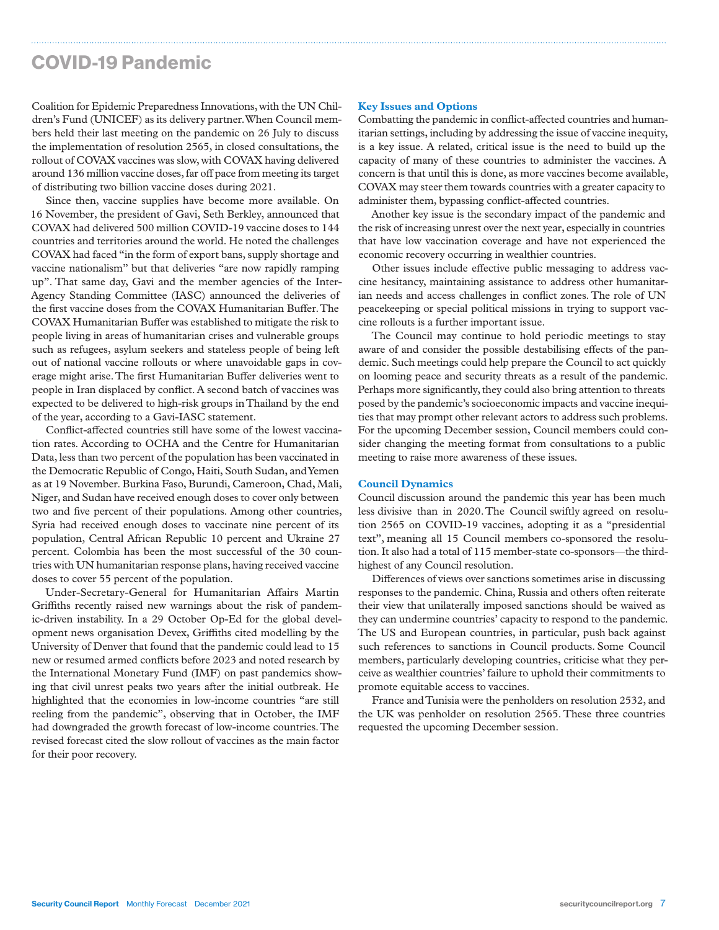# COVID-19 Pandemic

Coalition for Epidemic Preparedness Innovations, with the UN Children's Fund (UNICEF) as its delivery partner. When Council members held their last meeting on the pandemic on 26 July to discuss the implementation of resolution 2565, in closed consultations, the rollout of COVAX vaccines was slow, with COVAX having delivered around 136 million vaccine doses, far off pace from meeting its target of distributing two billion vaccine doses during 2021.

Since then, vaccine supplies have become more available. On 16 November, the president of Gavi, Seth Berkley, announced that COVAX had delivered 500 million COVID-19 vaccine doses to 144 countries and territories around the world. He noted the challenges COVAX had faced "in the form of export bans, supply shortage and vaccine nationalism" but that deliveries "are now rapidly ramping up". That same day, Gavi and the member agencies of the Inter-Agency Standing Committee (IASC) announced the deliveries of the first vaccine doses from the COVAX Humanitarian Buffer. The COVAX Humanitarian Buffer was established to mitigate the risk to people living in areas of humanitarian crises and vulnerable groups such as refugees, asylum seekers and stateless people of being left out of national vaccine rollouts or where unavoidable gaps in coverage might arise. The first Humanitarian Buffer deliveries went to people in Iran displaced by conflict. A second batch of vaccines was expected to be delivered to high-risk groups in Thailand by the end of the year, according to a Gavi-IASC statement.

Conflict-affected countries still have some of the lowest vaccination rates. According to OCHA and the Centre for Humanitarian Data, less than two percent of the population has been vaccinated in the Democratic Republic of Congo, Haiti, South Sudan, and Yemen as at 19 November. Burkina Faso, Burundi, Cameroon, Chad, Mali, Niger, and Sudan have received enough doses to cover only between two and five percent of their populations. Among other countries, Syria had received enough doses to vaccinate nine percent of its population, Central African Republic 10 percent and Ukraine 27 percent. Colombia has been the most successful of the 30 countries with UN humanitarian response plans, having received vaccine doses to cover 55 percent of the population.

Under-Secretary-General for Humanitarian Affairs Martin Griffiths recently raised new warnings about the risk of pandemic-driven instability. In a 29 October Op-Ed for the global development news organisation Devex, Griffiths cited modelling by the University of Denver that found that the pandemic could lead to 15 new or resumed armed conflicts before 2023 and noted research by the International Monetary Fund (IMF) on past pandemics showing that civil unrest peaks two years after the initial outbreak. He highlighted that the economies in low-income countries "are still reeling from the pandemic", observing that in October, the IMF had downgraded the growth forecast of low-income countries. The revised forecast cited the slow rollout of vaccines as the main factor for their poor recovery.

#### **Key Issues and Options**

Combatting the pandemic in conflict-affected countries and humanitarian settings, including by addressing the issue of vaccine inequity, is a key issue. A related, critical issue is the need to build up the capacity of many of these countries to administer the vaccines. A concern is that until this is done, as more vaccines become available, COVAX may steer them towards countries with a greater capacity to administer them, bypassing conflict-affected countries.

Another key issue is the secondary impact of the pandemic and the risk of increasing unrest over the next year, especially in countries that have low vaccination coverage and have not experienced the economic recovery occurring in wealthier countries.

Other issues include effective public messaging to address vaccine hesitancy, maintaining assistance to address other humanitarian needs and access challenges in conflict zones. The role of UN peacekeeping or special political missions in trying to support vaccine rollouts is a further important issue.

The Council may continue to hold periodic meetings to stay aware of and consider the possible destabilising effects of the pandemic. Such meetings could help prepare the Council to act quickly on looming peace and security threats as a result of the pandemic. Perhaps more significantly, they could also bring attention to threats posed by the pandemic's socioeconomic impacts and vaccine inequities that may prompt other relevant actors to address such problems. For the upcoming December session, Council members could consider changing the meeting format from consultations to a public meeting to raise more awareness of these issues.

#### **Council Dynamics**

Council discussion around the pandemic this year has been much less divisive than in 2020.The Council swiftly agreed on resolution 2565 on COVID-19 vaccines, adopting it as a "presidential text", meaning all 15 Council members co-sponsored the resolution. It also had a total of 115 member-state co-sponsors—the thirdhighest of any Council resolution.

Differences of views over sanctions sometimes arise in discussing responses to the pandemic. China, Russia and others often reiterate their view that unilaterally imposed sanctions should be waived as they can undermine countries' capacity to respond to the pandemic. The US and European countries, in particular, push back against such references to sanctions in Council products. Some Council members, particularly developing countries, criticise what they perceive as wealthier countries' failure to uphold their commitments to promote equitable access to vaccines.

France and Tunisia were the penholders on resolution 2532, and the UK was penholder on resolution 2565. These three countries requested the upcoming December session.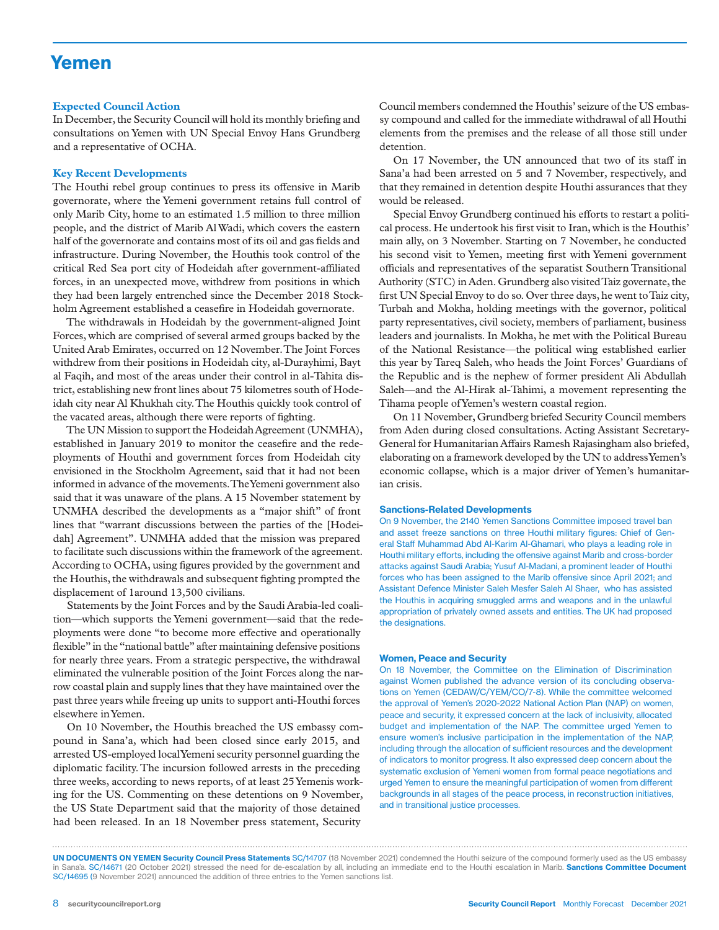### Yemen

#### **Expected Council Action**

In December, the Security Council will hold its monthly briefing and consultations on Yemen with UN Special Envoy Hans Grundberg and a representative of OCHA.

#### **Key Recent Developments**

The Houthi rebel group continues to press its offensive in Marib governorate, where the Yemeni government retains full control of only Marib City, home to an estimated 1.5 million to three million people, and the district of Marib Al Wadi, which covers the eastern half of the governorate and contains most of its oil and gas fields and infrastructure. During November, the Houthis took control of the critical Red Sea port city of Hodeidah after government-affiliated forces, in an unexpected move, withdrew from positions in which they had been largely entrenched since the December 2018 Stockholm Agreement established a ceasefire in Hodeidah governorate.

The withdrawals in Hodeidah by the government-aligned Joint Forces, which are comprised of several armed groups backed by the United Arab Emirates, occurred on 12 November. The Joint Forces withdrew from their positions in Hodeidah city, al-Durayhimi, Bayt al Faqih, and most of the areas under their control in al-Tahita district, establishing new front lines about 75 kilometres south of Hodeidah city near Al Khukhah city. The Houthis quickly took control of the vacated areas, although there were reports of fighting.

The UN Mission to support the Hodeidah Agreement (UNMHA), established in January 2019 to monitor the ceasefire and the redeployments of Houthi and government forces from Hodeidah city envisioned in the Stockholm Agreement, said that it had not been informed in advance of the movements. The Yemeni government also said that it was unaware of the plans. A 15 November statement by UNMHA described the developments as a "major shift" of front lines that "warrant discussions between the parties of the [Hodeidah] Agreement". UNMHA added that the mission was prepared to facilitate such discussions within the framework of the agreement. According to OCHA, using figures provided by the government and the Houthis, the withdrawals and subsequent fighting prompted the displacement of 1around 13,500 civilians.

Statements by the Joint Forces and by the Saudi Arabia-led coalition—which supports the Yemeni government—said that the redeployments were done "to become more effective and operationally flexible" in the "national battle" after maintaining defensive positions for nearly three years. From a strategic perspective, the withdrawal eliminated the vulnerable position of the Joint Forces along the narrow coastal plain and supply lines that they have maintained over the past three years while freeing up units to support anti-Houthi forces elsewhere in Yemen.

On 10 November, the Houthis breached the US embassy compound in Sana'a, which had been closed since early 2015, and arrested US-employed local Yemeni security personnel guarding the diplomatic facility. The incursion followed arrests in the preceding three weeks, according to news reports, of at least 25 Yemenis working for the US. Commenting on these detentions on 9 November, the US State Department said that the majority of those detained had been released. In an 18 November press statement, Security

Council members condemned the Houthis' seizure of the US embassy compound and called for the immediate withdrawal of all Houthi elements from the premises and the release of all those still under detention.

On 17 November, the UN announced that two of its staff in Sana'a had been arrested on 5 and 7 November, respectively, and that they remained in detention despite Houthi assurances that they would be released.

Special Envoy Grundberg continued his efforts to restart a political process. He undertook his first visit to Iran, which is the Houthis' main ally, on 3 November. Starting on 7 November, he conducted his second visit to Yemen, meeting first with Yemeni government officials and representatives of the separatist Southern Transitional Authority (STC) in Aden. Grundberg also visited Taiz governate, the first UN Special Envoy to do so. Over three days, he went to Taiz city, Turbah and Mokha, holding meetings with the governor, political party representatives, civil society, members of parliament, business leaders and journalists. In Mokha, he met with the Political Bureau of the National Resistance—the political wing established earlier this year by Tareq Saleh, who heads the Joint Forces' Guardians of the Republic and is the nephew of former president Ali Abdullah Saleh—and the Al-Hirak al-Tahimi, a movement representing the Tihama people of Yemen's western coastal region.

On 11 November, Grundberg briefed Security Council members from Aden during closed consultations. Acting Assistant Secretary-General for Humanitarian Affairs Ramesh Rajasingham also briefed, elaborating on a framework developed by the UN to address Yemen's economic collapse, which is a major driver of Yemen's humanitarian crisis.

#### Sanctions-Related Developments

On 9 November, the 2140 Yemen Sanctions Committee imposed travel ban and asset freeze sanctions on three Houthi military figures: Chief of General Staff Muhammad Abd Al-Karim Al-Ghamari, who plays a leading role in Houthi military efforts, including the offensive against Marib and cross-border attacks against Saudi Arabia; Yusuf Al-Madani, a prominent leader of Houthi forces who has been assigned to the Marib offensive since April 2021; and Assistant Defence Minister Saleh Mesfer Saleh Al Shaer, who has assisted the Houthis in acquiring smuggled arms and weapons and in the unlawful appropriation of privately owned assets and entities. The UK had proposed the designations.

#### Women, Peace and Security

On 18 November, the Committee on the Elimination of Discrimination against Women published the advance version of its concluding observations on Yemen (CEDAW/C/YEM/CO/7-8). While the committee welcomed the approval of Yemen's 2020-2022 National Action Plan (NAP) on women, peace and security, it expressed concern at the lack of inclusivity, allocated budget and implementation of the NAP. The committee urged Yemen to ensure women's inclusive participation in the implementation of the NAP, including through the allocation of sufficient resources and the development of indicators to monitor progress. It also expressed deep concern about the systematic exclusion of Yemeni women from formal peace negotiations and urged Yemen to ensure the meaningful participation of women from different backgrounds in all stages of the peace process, in reconstruction initiatives, and in transitional justice processes.

UN DOCUMENTS ON YEMEN Security Council Press Statements SC/14707 (18 November 2021) condemned the Houthi seizure of the compound formerly used as the US embassy in Sana'a. SC/14671 (20 October 2021) stressed the need for de-escalation by all, including an immediate end to the Houthi escalation in Marib. Sanctions Committee Document SC/14695 (9 November 2021) announced the addition of three entries to the Yemen sanctions list.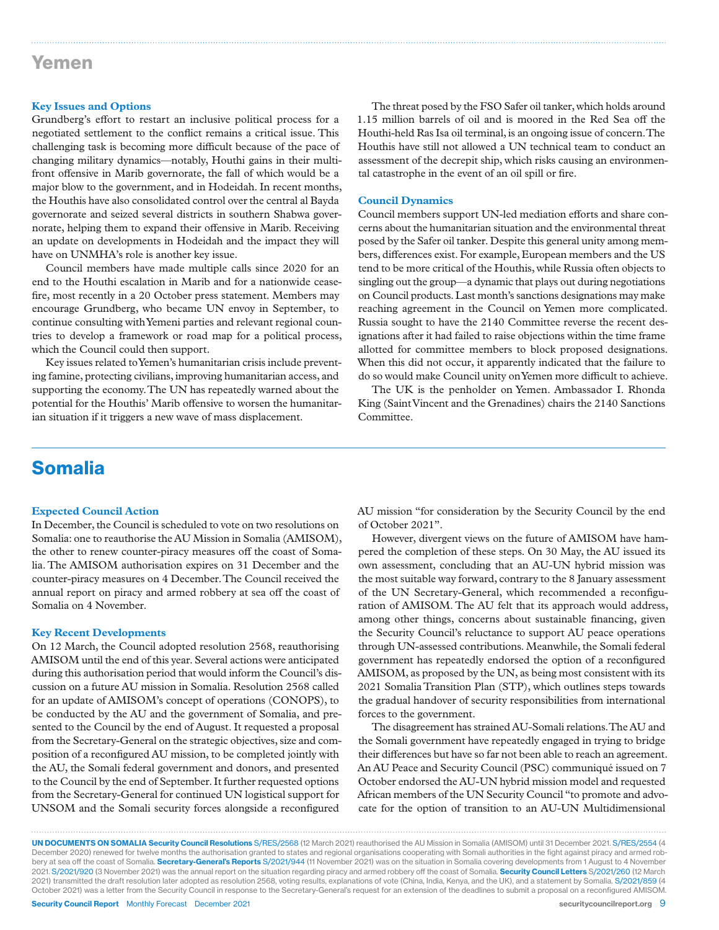### Yemen

#### **Key Issues and Options**

Grundberg's effort to restart an inclusive political process for a negotiated settlement to the conflict remains a critical issue. This challenging task is becoming more difficult because of the pace of changing military dynamics—notably, Houthi gains in their multifront offensive in Marib governorate, the fall of which would be a major blow to the government, and in Hodeidah. In recent months, the Houthis have also consolidated control over the central al Bayda governorate and seized several districts in southern Shabwa governorate, helping them to expand their offensive in Marib. Receiving an update on developments in Hodeidah and the impact they will have on UNMHA's role is another key issue.

Council members have made multiple calls since 2020 for an end to the Houthi escalation in Marib and for a nationwide ceasefire, most recently in a 20 October press statement. Members may encourage Grundberg, who became UN envoy in September, to continue consulting with Yemeni parties and relevant regional countries to develop a framework or road map for a political process, which the Council could then support.

Key issues related to Yemen's humanitarian crisis include preventing famine, protecting civilians, improving humanitarian access, and supporting the economy. The UN has repeatedly warned about the potential for the Houthis' Marib offensive to worsen the humanitarian situation if it triggers a new wave of mass displacement.

The threat posed by the FSO Safer oil tanker, which holds around 1.15 million barrels of oil and is moored in the Red Sea off the Houthi-held Ras Isa oil terminal, is an ongoing issue of concern. The Houthis have still not allowed a UN technical team to conduct an assessment of the decrepit ship, which risks causing an environmental catastrophe in the event of an oil spill or fire.

#### **Council Dynamics**

Council members support UN-led mediation efforts and share concerns about the humanitarian situation and the environmental threat posed by the Safer oil tanker. Despite this general unity among members, differences exist. For example, European members and the US tend to be more critical of the Houthis, while Russia often objects to singling out the group—a dynamic that plays out during negotiations on Council products. Last month's sanctions designations may make reaching agreement in the Council on Yemen more complicated. Russia sought to have the 2140 Committee reverse the recent designations after it had failed to raise objections within the time frame allotted for committee members to block proposed designations. When this did not occur, it apparently indicated that the failure to do so would make Council unity on Yemen more difficult to achieve.

The UK is the penholder on Yemen. Ambassador I. Rhonda King (Saint Vincent and the Grenadines) chairs the 2140 Sanctions Committee.

### Somalia

#### **Expected Council Action**

In December, the Council is scheduled to vote on two resolutions on Somalia: one to reauthorise the AU Mission in Somalia (AMISOM), the other to renew counter-piracy measures off the coast of Somalia. The AMISOM authorisation expires on 31 December and the counter-piracy measures on 4 December. The Council received the annual report on piracy and armed robbery at sea off the coast of Somalia on 4 November.

#### **Key Recent Developments**

On 12 March, the Council adopted resolution 2568, reauthorising AMISOM until the end of this year. Several actions were anticipated during this authorisation period that would inform the Council's discussion on a future AU mission in Somalia. Resolution 2568 called for an update of AMISOM's concept of operations (CONOPS), to be conducted by the AU and the government of Somalia, and presented to the Council by the end of August. It requested a proposal from the Secretary-General on the strategic objectives, size and composition of a reconfigured AU mission, to be completed jointly with the AU, the Somali federal government and donors, and presented to the Council by the end of September. It further requested options from the Secretary-General for continued UN logistical support for UNSOM and the Somali security forces alongside a reconfigured

AU mission "for consideration by the Security Council by the end of October 2021".

However, divergent views on the future of AMISOM have hampered the completion of these steps. On 30 May, the AU issued its own assessment, concluding that an AU-UN hybrid mission was the most suitable way forward, contrary to the 8 January assessment of the UN Secretary-General, which recommended a reconfiguration of AMISOM. The AU felt that its approach would address, among other things, concerns about sustainable financing, given the Security Council's reluctance to support AU peace operations through UN-assessed contributions. Meanwhile, the Somali federal government has repeatedly endorsed the option of a reconfigured AMISOM, as proposed by the UN, as being most consistent with its 2021 Somalia Transition Plan (STP), which outlines steps towards the gradual handover of security responsibilities from international forces to the government.

The disagreement has strained AU-Somali relations. The AU and the Somali government have repeatedly engaged in trying to bridge their differences but have so far not been able to reach an agreement. An AU Peace and Security Council (PSC) communiqué issued on 7 October endorsed the AU-UN hybrid mission model and requested African members of the UN Security Council "to promote and advocate for the option of transition to an AU-UN Multidimensional

Security Council Report Monthly Forecast December 2021 security council report.org 9 UN DOCUMENTS ON SOMALIA Security Council Resolutions S/RES/2568 (12 March 2021) reauthorised the AU Mission in Somalia (AMISOM) until 31 December 2021. S/RES/2554 (4 December 2020) renewed for twelve months the authorisation granted to states and regional organisations cooperating with Somali authorities in the fight against piracy and armed robbery at sea off the coast of Somalia. Secretary-General's Reports S/2021/944 (11 November 2021) was on the situation in Somalia covering developments from 1 August to 4 November 2021. S/2021/920 (3 November 2021) was the annual report on the situation regarding piracy and armed robbery off the coast of Somalia. Security Council Letters S/2021/260 (12 March 2021) transmitted the draft resolution later adopted as resolution 2568, voting results, explanations of vote (China, India, Kenya, and the UK), and a statement by Somalia. S/2021/859 (4 October 2021) was a letter from the Security Council in response to the Secretary-General's request for an extension of the deadlines to submit a proposal on a reconfigured AMISOM.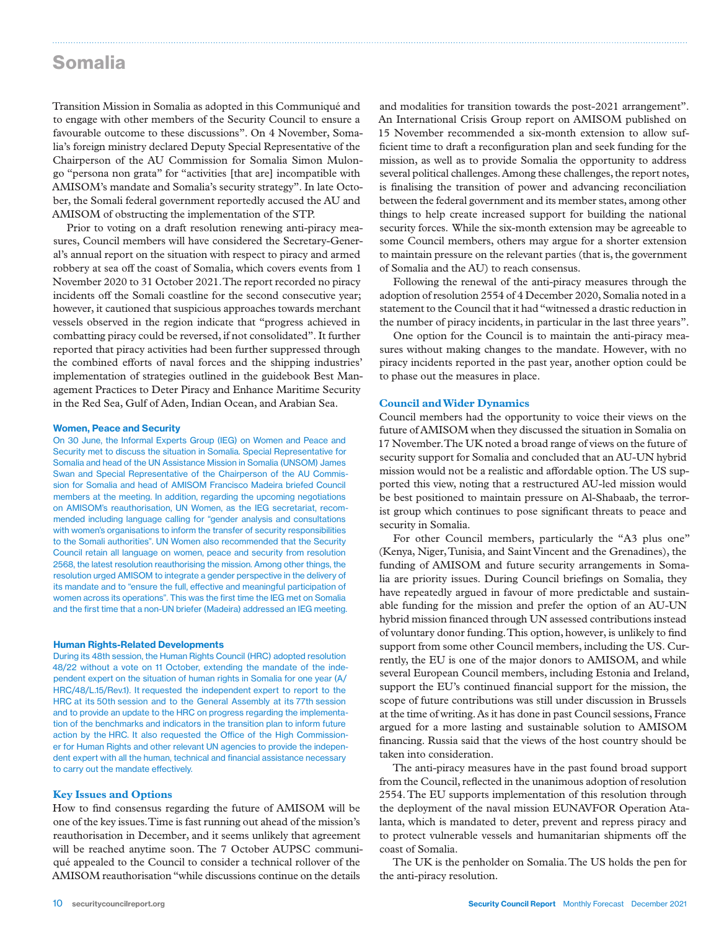### Somalia

Transition Mission in Somalia as adopted in this Communiqué and to engage with other members of the Security Council to ensure a favourable outcome to these discussions". On 4 November, Somalia's foreign ministry declared Deputy Special Representative of the Chairperson of the AU Commission for Somalia Simon Mulongo "persona non grata" for "activities [that are] incompatible with AMISOM's mandate and Somalia's security strategy". In late October, the Somali federal government reportedly accused the AU and AMISOM of obstructing the implementation of the STP.

Prior to voting on a draft resolution renewing anti-piracy measures, Council members will have considered the Secretary-General's annual report on the situation with respect to piracy and armed robbery at sea off the coast of Somalia, which covers events from 1 November 2020 to 31 October 2021. The report recorded no piracy incidents off the Somali coastline for the second consecutive year; however, it cautioned that suspicious approaches towards merchant vessels observed in the region indicate that "progress achieved in combatting piracy could be reversed, if not consolidated". It further reported that piracy activities had been further suppressed through the combined efforts of naval forces and the shipping industries' implementation of strategies outlined in the guidebook Best Management Practices to Deter Piracy and Enhance Maritime Security in the Red Sea, Gulf of Aden, Indian Ocean, and Arabian Sea.

#### Women, Peace and Security

On 30 June, the Informal Experts Group (IEG) on Women and Peace and Security met to discuss the situation in Somalia. Special Representative for Somalia and head of the UN Assistance Mission in Somalia (UNSOM) James Swan and Special Representative of the Chairperson of the AU Commission for Somalia and head of AMISOM Francisco Madeira briefed Council members at the meeting. In addition, regarding the upcoming negotiations on AMISOM's reauthorisation, UN Women, as the IEG secretariat, recommended including language calling for "gender analysis and consultations with women's organisations to inform the transfer of security responsibilities to the Somali authorities". UN Women also recommended that the Security Council retain all language on women, peace and security from resolution 2568, the latest resolution reauthorising the mission. Among other things, the resolution urged AMISOM to integrate a gender perspective in the delivery of its mandate and to "ensure the full, effective and meaningful participation of women across its operations". This was the first time the IEG met on Somalia and the first time that a non-UN briefer (Madeira) addressed an IEG meeting.

#### Human Rights-Related Developments

During its 48th session, the Human Rights Council (HRC) adopted resolution 48/22 without a vote on 11 October, extending the mandate of the independent expert on the situation of human rights in Somalia for one year (A/ HRC/48/L.15/Rev.1). It requested the independent expert to report to the HRC at its 50th session and to the General Assembly at its 77th session and to provide an update to the HRC on progress regarding the implementation of the benchmarks and indicators in the transition plan to inform future action by the HRC. It also requested the Office of the High Commissioner for Human Rights and other relevant UN agencies to provide the independent expert with all the human, technical and financial assistance necessary to carry out the mandate effectively.

#### **Key Issues and Options**

How to find consensus regarding the future of AMISOM will be one of the key issues. Time is fast running out ahead of the mission's reauthorisation in December, and it seems unlikely that agreement will be reached anytime soon. The 7 October AUPSC communiqué appealed to the Council to consider a technical rollover of the AMISOM reauthorisation "while discussions continue on the details

and modalities for transition towards the post-2021 arrangement". An International Crisis Group report on AMISOM published on 15 November recommended a six-month extension to allow sufficient time to draft a reconfiguration plan and seek funding for the mission, as well as to provide Somalia the opportunity to address several political challenges. Among these challenges, the report notes, is finalising the transition of power and advancing reconciliation between the federal government and its member states, among other things to help create increased support for building the national security forces. While the six-month extension may be agreeable to some Council members, others may argue for a shorter extension to maintain pressure on the relevant parties (that is, the government of Somalia and the AU) to reach consensus.

Following the renewal of the anti-piracy measures through the adoption of resolution 2554 of 4 December 2020, Somalia noted in a statement to the Council that it had "witnessed a drastic reduction in the number of piracy incidents, in particular in the last three years".

One option for the Council is to maintain the anti-piracy measures without making changes to the mandate. However, with no piracy incidents reported in the past year, another option could be to phase out the measures in place.

#### **Council and Wider Dynamics**

Council members had the opportunity to voice their views on the future of AMISOM when they discussed the situation in Somalia on 17 November. The UK noted a broad range of views on the future of security support for Somalia and concluded that an AU-UN hybrid mission would not be a realistic and affordable option. The US supported this view, noting that a restructured AU-led mission would be best positioned to maintain pressure on Al-Shabaab, the terrorist group which continues to pose significant threats to peace and security in Somalia.

For other Council members, particularly the "A3 plus one" (Kenya, Niger, Tunisia, and Saint Vincent and the Grenadines), the funding of AMISOM and future security arrangements in Somalia are priority issues. During Council briefings on Somalia, they have repeatedly argued in favour of more predictable and sustainable funding for the mission and prefer the option of an AU-UN hybrid mission financed through UN assessed contributions instead of voluntary donor funding. This option, however, is unlikely to find support from some other Council members, including the US. Currently, the EU is one of the major donors to AMISOM, and while several European Council members, including Estonia and Ireland, support the EU's continued financial support for the mission, the scope of future contributions was still under discussion in Brussels at the time of writing. As it has done in past Council sessions, France argued for a more lasting and sustainable solution to AMISOM financing. Russia said that the views of the host country should be taken into consideration.

The anti-piracy measures have in the past found broad support from the Council, reflected in the unanimous adoption of resolution 2554. The EU supports implementation of this resolution through the deployment of the naval mission EUNAVFOR Operation Atalanta, which is mandated to deter, prevent and repress piracy and to protect vulnerable vessels and humanitarian shipments off the coast of Somalia.

The UK is the penholder on Somalia. The US holds the pen for the anti-piracy resolution.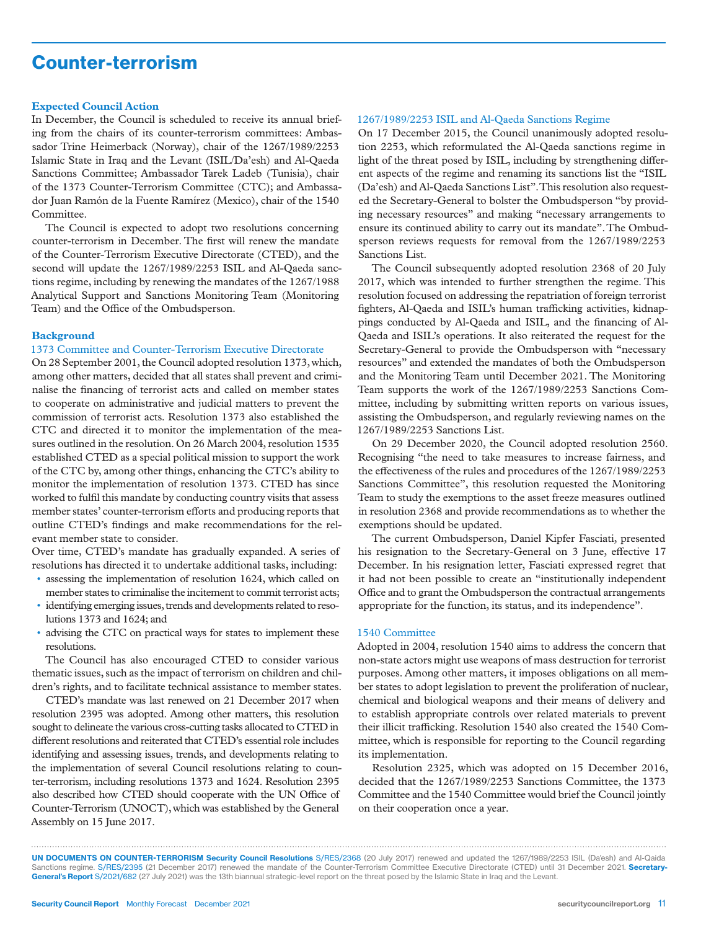# Counter-terrorism

#### **Expected Council Action**

In December, the Council is scheduled to receive its annual briefing from the chairs of its counter-terrorism committees: Ambassador Trine Heimerback (Norway), chair of the 1267/1989/2253 Islamic State in Iraq and the Levant (ISIL/Da'esh) and Al-Qaeda Sanctions Committee; Ambassador Tarek Ladeb (Tunisia), chair of the 1373 Counter-Terrorism Committee (CTC); and Ambassador Juan Ramón de la Fuente Ramírez (Mexico), chair of the 1540 Committee.

The Council is expected to adopt two resolutions concerning counter-terrorism in December. The first will renew the mandate of the Counter-Terrorism Executive Directorate (CTED), and the second will update the 1267/1989/2253 ISIL and Al-Qaeda sanctions regime, including by renewing the mandates of the 1267/1988 Analytical Support and Sanctions Monitoring Team (Monitoring Team) and the Office of the Ombudsperson.

#### **Background**

#### 1373 Committee and Counter-Terrorism Executive Directorate

On 28 September 2001, the Council adopted resolution 1373, which, among other matters, decided that all states shall prevent and criminalise the financing of terrorist acts and called on member states to cooperate on administrative and judicial matters to prevent the commission of terrorist acts. Resolution 1373 also established the CTC and directed it to monitor the implementation of the measures outlined in the resolution. On 26 March 2004, resolution 1535 established CTED as a special political mission to support the work of the CTC by, among other things, enhancing the CTC's ability to monitor the implementation of resolution 1373. CTED has since worked to fulfil this mandate by conducting country visits that assess member states' counter-terrorism efforts and producing reports that outline CTED's findings and make recommendations for the relevant member state to consider.

Over time, CTED's mandate has gradually expanded. A series of resolutions has directed it to undertake additional tasks, including:

- assessing the implementation of resolution 1624, which called on member states to criminalise the incitement to commit terrorist acts;
- identifying emerging issues, trends and developments related to resolutions 1373 and 1624; and
- advising the CTC on practical ways for states to implement these resolutions.

The Council has also encouraged CTED to consider various thematic issues, such as the impact of terrorism on children and children's rights, and to facilitate technical assistance to member states.

CTED's mandate was last renewed on 21 December 2017 when resolution 2395 was adopted. Among other matters, this resolution sought to delineate the various cross-cutting tasks allocated to CTED in different resolutions and reiterated that CTED's essential role includes identifying and assessing issues, trends, and developments relating to the implementation of several Council resolutions relating to counter-terrorism, including resolutions 1373 and 1624. Resolution 2395 also described how CTED should cooperate with the UN Office of Counter-Terrorism (UNOCT), which was established by the General Assembly on 15 June 2017.

#### 1267/1989/2253 ISIL and Al-Qaeda Sanctions Regime

On 17 December 2015, the Council unanimously adopted resolution 2253, which reformulated the Al-Qaeda sanctions regime in light of the threat posed by ISIL, including by strengthening different aspects of the regime and renaming its sanctions list the "ISIL (Da'esh) and Al-Qaeda Sanctions List". This resolution also requested the Secretary-General to bolster the Ombudsperson "by providing necessary resources" and making "necessary arrangements to ensure its continued ability to carry out its mandate". The Ombudsperson reviews requests for removal from the 1267/1989/2253 Sanctions List.

The Council subsequently adopted resolution 2368 of 20 July 2017, which was intended to further strengthen the regime. This resolution focused on addressing the repatriation of foreign terrorist fighters, Al-Qaeda and ISIL's human trafficking activities, kidnappings conducted by Al-Qaeda and ISIL, and the financing of Al-Qaeda and ISIL's operations. It also reiterated the request for the Secretary-General to provide the Ombudsperson with "necessary resources" and extended the mandates of both the Ombudsperson and the Monitoring Team until December 2021. The Monitoring Team supports the work of the 1267/1989/2253 Sanctions Committee, including by submitting written reports on various issues, assisting the Ombudsperson, and regularly reviewing names on the 1267/1989/2253 Sanctions List.

On 29 December 2020, the Council adopted resolution 2560. Recognising "the need to take measures to increase fairness, and the effectiveness of the rules and procedures of the 1267/1989/2253 Sanctions Committee", this resolution requested the Monitoring Team to study the exemptions to the asset freeze measures outlined in resolution 2368 and provide recommendations as to whether the exemptions should be updated.

The current Ombudsperson, Daniel Kipfer Fasciati, presented his resignation to the Secretary-General on 3 June, effective 17 December. In his resignation letter, Fasciati expressed regret that it had not been possible to create an "institutionally independent Office and to grant the Ombudsperson the contractual arrangements appropriate for the function, its status, and its independence".

#### 1540 Committee

Adopted in 2004, resolution 1540 aims to address the concern that non-state actors might use weapons of mass destruction for terrorist purposes. Among other matters, it imposes obligations on all member states to adopt legislation to prevent the proliferation of nuclear, chemical and biological weapons and their means of delivery and to establish appropriate controls over related materials to prevent their illicit trafficking. Resolution 1540 also created the 1540 Committee, which is responsible for reporting to the Council regarding its implementation.

Resolution 2325, which was adopted on 15 December 2016, decided that the 1267/1989/2253 Sanctions Committee, the 1373 Committee and the 1540 Committee would brief the Council jointly on their cooperation once a year.

UN DOCUMENTS ON COUNTER-TERRORISM Security Council Resolutions S/RES/2368 (20 July 2017) renewed and updated the 1267/1989/2253 ISIL (Da'esh) and Al-Qaida Sanctions regime. S/RES/2395 (21 December 2017) renewed the mandate of the Counter-Terrorism Committee Executive Directorate (CTED) until 31 December 2021. Secretary-General's Report S/2021/682 (27 July 2021) was the 13th biannual strategic-level report on the threat posed by the Islamic State in Iraq and the Levant.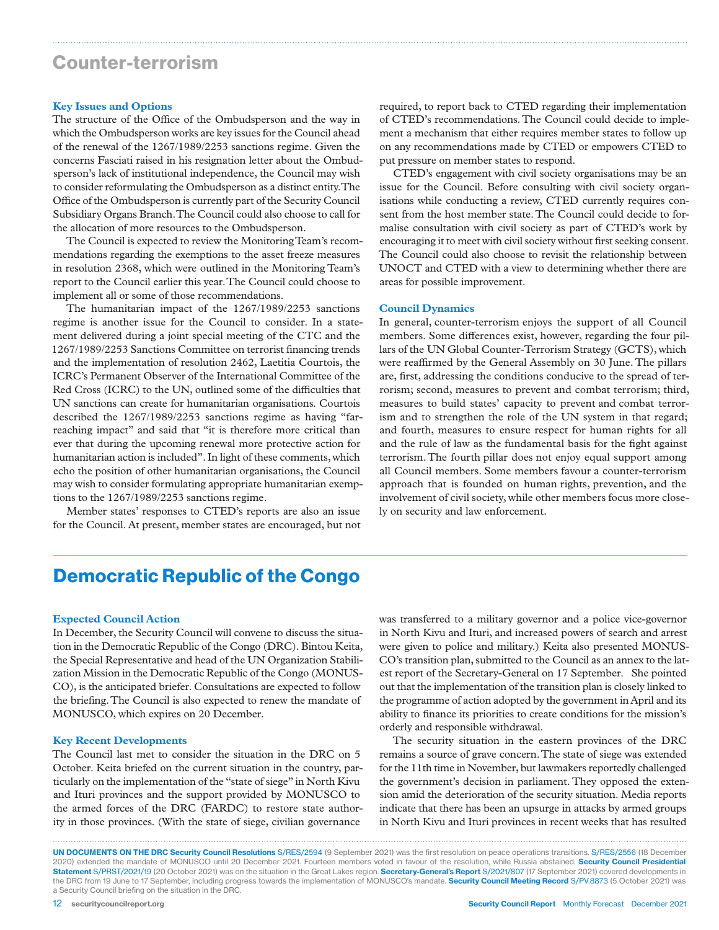### Counter-terrorism

#### **Key Issues and Options**

The structure of the Office of the Ombudsperson and the way in which the Ombudsperson works are key issues for the Council ahead of the renewal of the 1267/1989/2253 sanctions regime. Given the concerns Fasciati raised in his resignation letter about the Ombudsperson's lack of institutional independence, the Council may wish to consider reformulating the Ombudsperson as a distinct entity. The Office of the Ombudsperson is currently part of the Security Council Subsidiary Organs Branch. The Council could also choose to call for the allocation of more resources to the Ombudsperson.

The Council is expected to review the Monitoring Team's recommendations regarding the exemptions to the asset freeze measures in resolution 2368, which were outlined in the Monitoring Team's report to the Council earlier this year. The Council could choose to implement all or some of those recommendations.

The humanitarian impact of the 1267/1989/2253 sanctions regime is another issue for the Council to consider. In a statement delivered during a joint special meeting of the CTC and the 1267/1989/2253 Sanctions Committee on terrorist financing trends and the implementation of resolution 2462, Laetitia Courtois, the ICRC's Permanent Observer of the International Committee of the Red Cross (ICRC) to the UN, outlined some of the difficulties that UN sanctions can create for humanitarian organisations. Courtois described the 1267/1989/2253 sanctions regime as having "farreaching impact" and said that "it is therefore more critical than ever that during the upcoming renewal more protective action for humanitarian action is included". In light of these comments, which echo the position of other humanitarian organisations, the Council may wish to consider formulating appropriate humanitarian exemptions to the 1267/1989/2253 sanctions regime.

Member states' responses to CTED's reports are also an issue for the Council. At present, member states are encouraged, but not required, to report back to CTED regarding their implementation of CTED's recommendations. The Council could decide to implement a mechanism that either requires member states to follow up on any recommendations made by CTED or empowers CTED to put pressure on member states to respond.

CTED's engagement with civil society organisations may be an issue for the Council. Before consulting with civil society organisations while conducting a review, CTED currently requires consent from the host member state. The Council could decide to formalise consultation with civil society as part of CTED's work by encouraging it to meet with civil society without first seeking consent. The Council could also choose to revisit the relationship between UNOCT and CTED with a view to determining whether there are areas for possible improvement.

#### **Council Dynamics**

In general, counter-terrorism enjoys the support of all Council members. Some differences exist, however, regarding the four pillars of the UN Global Counter-Terrorism Strategy (GCTS), which were reaffirmed by the General Assembly on 30 June. The pillars are, first, addressing the conditions conducive to the spread of terrorism; second, measures to prevent and combat terrorism; third, measures to build states' capacity to prevent and combat terrorism and to strengthen the role of the UN system in that regard; and fourth, measures to ensure respect for human rights for all and the rule of law as the fundamental basis for the fight against terrorism.The fourth pillar does not enjoy equal support among all Council members. Some members favour a counter-terrorism approach that is founded on human rights, prevention, and the involvement of civil society, while other members focus more closely on security and law enforcement.

### Democratic Republic of the Congo

#### **Expected Council Action**

In December, the Security Council will convene to discuss the situation in the Democratic Republic of the Congo (DRC). Bintou Keita, the Special Representative and head of the UN Organization Stabilization Mission in the Democratic Republic of the Congo (MONUS-CO), is the anticipated briefer. Consultations are expected to follow the briefing. The Council is also expected to renew the mandate of MONUSCO, which expires on 20 December.

#### **Key Recent Developments**

The Council last met to consider the situation in the DRC on 5 October. Keita briefed on the current situation in the country, particularly on the implementation of the "state of siege" in North Kivu and Ituri provinces and the support provided by MONUSCO to the armed forces of the DRC (FARDC) to restore state authority in those provinces. (With the state of siege, civilian governance

was transferred to a military governor and a police vice-governor in North Kivu and Ituri, and increased powers of search and arrest were given to police and military.) Keita also presented MONUS-CO's transition plan, submitted to the Council as an annex to the latest report of the Secretary-General on 17 September. She pointed out that the implementation of the transition plan is closely linked to the programme of action adopted by the government in April and its ability to finance its priorities to create conditions for the mission's orderly and responsible withdrawal.

The security situation in the eastern provinces of the DRC remains a source of grave concern. The state of siege was extended for the 11th time in November, but lawmakers reportedly challenged the government's decision in parliament. They opposed the extension amid the deterioration of the security situation. Media reports indicate that there has been an upsurge in attacks by armed groups in North Kivu and Ituri provinces in recent weeks that has resulted

UN DOCUMENTS ON THE DRC Security Council Resolutions S/RES/2594 (9 September 2021) was the first resolution on peace operations transitions. S/RES/2556 (18 December 2020) extended the mandate of MONUSCO until 20 December 2021. Fourteen members voted in favour of the resolution, while Russia abstained. Security Council Presidential Statement S/PRST/2021/19 (20 October 2021) was on the situation in the Great Lakes region. Secretary-General's Report S/2021/807 (17 September 2021) covered developments in the DRC from 19 June to 17 September, including progress towards the implementation of MONUSCO's mandate. Security Council Meeting Record S/PV.8873 (5 October 2021) was a Security Council briefing on the situation in the DRC.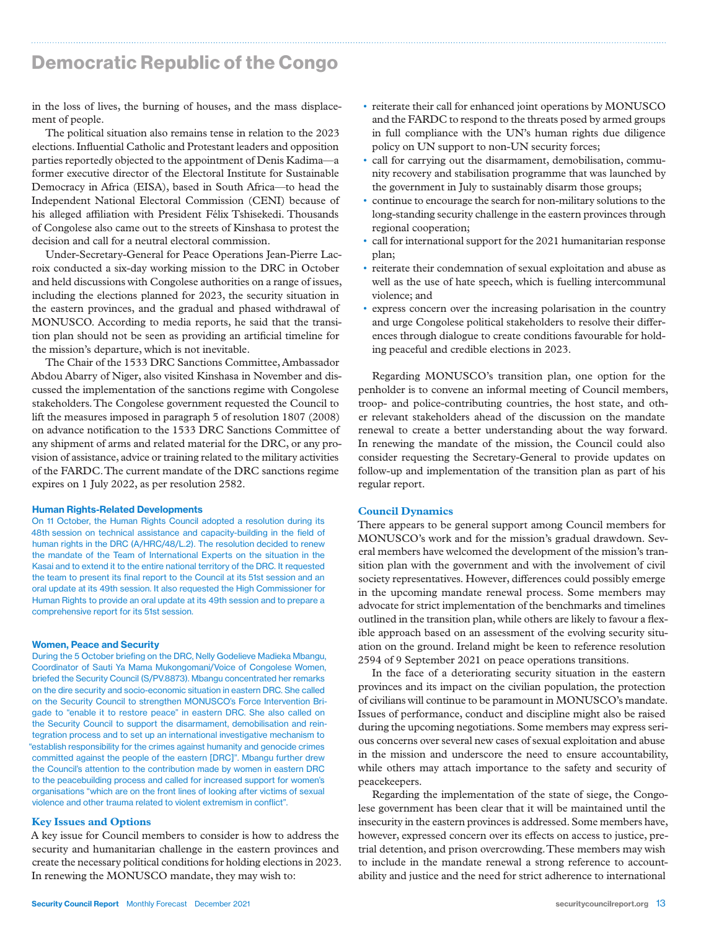# Democratic Republic of the Congo

in the loss of lives, the burning of houses, and the mass displacement of people.

The political situation also remains tense in relation to the 2023 elections. Influential Catholic and Protestant leaders and opposition parties reportedly objected to the appointment of Denis Kadima—a former executive director of the Electoral Institute for Sustainable Democracy in Africa (EISA), based in South Africa—to head the Independent National Electoral Commission (CENI) because of his alleged affiliation with President Félix Tshisekedi. Thousands of Congolese also came out to the streets of Kinshasa to protest the decision and call for a neutral electoral commission.

Under-Secretary-General for Peace Operations Jean-Pierre Lacroix conducted a six-day working mission to the DRC in October and held discussions with Congolese authorities on a range of issues, including the elections planned for 2023, the security situation in the eastern provinces, and the gradual and phased withdrawal of MONUSCO. According to media reports, he said that the transition plan should not be seen as providing an artificial timeline for the mission's departure, which is not inevitable.

The Chair of the 1533 DRC Sanctions Committee, Ambassador Abdou Abarry of Niger, also visited Kinshasa in November and discussed the implementation of the sanctions regime with Congolese stakeholders. The Congolese government requested the Council to lift the measures imposed in paragraph 5 of resolution 1807 (2008) on advance notification to the 1533 DRC Sanctions Committee of any shipment of arms and related material for the DRC, or any provision of assistance, advice or training related to the military activities of the FARDC. The current mandate of the DRC sanctions regime expires on 1 July 2022, as per resolution 2582.

#### Human Rights-Related Developments

On 11 October, the Human Rights Council adopted a resolution during its 48th session on technical assistance and capacity-building in the field of human rights in the DRC (A/HRC/48/L.2). The resolution decided to renew the mandate of the Team of International Experts on the situation in the Kasai and to extend it to the entire national territory of the DRC. It requested the team to present its final report to the Council at its 51st session and an oral update at its 49th session. It also requested the High Commissioner for Human Rights to provide an oral update at its 49th session and to prepare a comprehensive report for its 51st session.

#### Women, Peace and Security

During the 5 October briefing on the DRC, Nelly Godelieve Madieka Mbangu, Coordinator of Sauti Ya Mama Mukongomani/Voice of Congolese Women, briefed the Security Council (S/PV.8873). Mbangu concentrated her remarks on the dire security and socio-economic situation in eastern DRC. She called on the Security Council to strengthen MONUSCO's Force Intervention Brigade to "enable it to restore peace" in eastern DRC. She also called on the Security Council to support the disarmament, demobilisation and reintegration process and to set up an international investigative mechanism to "establish responsibility for the crimes against humanity and genocide crimes committed against the people of the eastern [DRC]". Mbangu further drew the Council's attention to the contribution made by women in eastern DRC to the peacebuilding process and called for increased support for women's organisations "which are on the front lines of looking after victims of sexual violence and other trauma related to violent extremism in conflict".

#### **Key Issues and Options**

A key issue for Council members to consider is how to address the security and humanitarian challenge in the eastern provinces and create the necessary political conditions for holding elections in 2023. In renewing the MONUSCO mandate, they may wish to:

• reiterate their call for enhanced joint operations by MONUSCO and the FARDC to respond to the threats posed by armed groups in full compliance with the UN's human rights due diligence policy on UN support to non-UN security forces;

- call for carrying out the disarmament, demobilisation, community recovery and stabilisation programme that was launched by the government in July to sustainably disarm those groups;
- continue to encourage the search for non-military solutions to the long-standing security challenge in the eastern provinces through regional cooperation;
- call for international support for the 2021 humanitarian response plan;
- reiterate their condemnation of sexual exploitation and abuse as well as the use of hate speech, which is fuelling intercommunal violence; and
- express concern over the increasing polarisation in the country and urge Congolese political stakeholders to resolve their differences through dialogue to create conditions favourable for holding peaceful and credible elections in 2023.

Regarding MONUSCO's transition plan, one option for the penholder is to convene an informal meeting of Council members, troop- and police-contributing countries, the host state, and other relevant stakeholders ahead of the discussion on the mandate renewal to create a better understanding about the way forward. In renewing the mandate of the mission, the Council could also consider requesting the Secretary-General to provide updates on follow-up and implementation of the transition plan as part of his regular report.

#### **Council Dynamics**

There appears to be general support among Council members for MONUSCO's work and for the mission's gradual drawdown. Several members have welcomed the development of the mission's transition plan with the government and with the involvement of civil society representatives. However, differences could possibly emerge in the upcoming mandate renewal process. Some members may advocate for strict implementation of the benchmarks and timelines outlined in the transition plan, while others are likely to favour a flexible approach based on an assessment of the evolving security situation on the ground. Ireland might be keen to reference resolution 2594 of 9 September 2021 on peace operations transitions.

In the face of a deteriorating security situation in the eastern provinces and its impact on the civilian population, the protection of civilians will continue to be paramount in MONUSCO's mandate. Issues of performance, conduct and discipline might also be raised during the upcoming negotiations. Some members may express serious concerns over several new cases of sexual exploitation and abuse in the mission and underscore the need to ensure accountability, while others may attach importance to the safety and security of peacekeepers.

Regarding the implementation of the state of siege, the Congolese government has been clear that it will be maintained until the insecurity in the eastern provinces is addressed. Some members have, however, expressed concern over its effects on access to justice, pretrial detention, and prison overcrowding. These members may wish to include in the mandate renewal a strong reference to accountability and justice and the need for strict adherence to international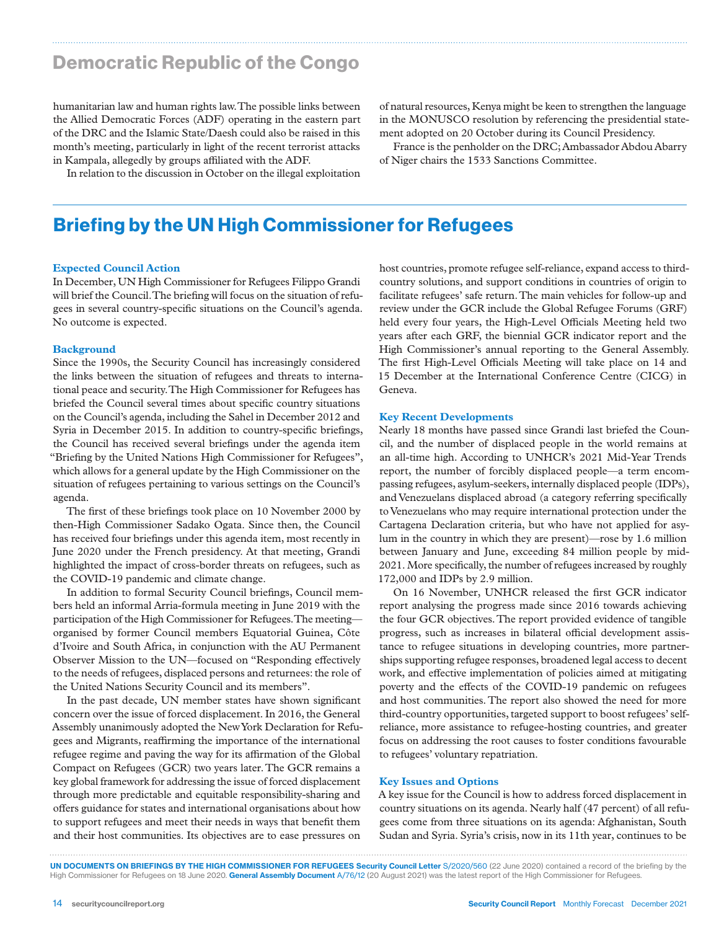### Democratic Republic of the Congo

humanitarian law and human rights law. The possible links between the Allied Democratic Forces (ADF) operating in the eastern part of the DRC and the Islamic State/Daesh could also be raised in this month's meeting, particularly in light of the recent terrorist attacks in Kampala, allegedly by groups affiliated with the ADF.

of natural resources, Kenya might be keen to strengthen the language in the MONUSCO resolution by referencing the presidential statement adopted on 20 October during its Council Presidency.

France is the penholder on the DRC; Ambassador Abdou Abarry of Niger chairs the 1533 Sanctions Committee.

In relation to the discussion in October on the illegal exploitation

### Briefing by the UN High Commissioner for Refugees

#### **Expected Council Action**

In December, UN High Commissioner for Refugees Filippo Grandi will brief the Council. The briefing will focus on the situation of refugees in several country-specific situations on the Council's agenda. No outcome is expected.

#### **Background**

Since the 1990s, the Security Council has increasingly considered the links between the situation of refugees and threats to international peace and security. The High Commissioner for Refugees has briefed the Council several times about specific country situations on the Council's agenda, including the Sahel in December 2012 and Syria in December 2015. In addition to country-specific briefings, the Council has received several briefings under the agenda item "Briefing by the United Nations High Commissioner for Refugees", which allows for a general update by the High Commissioner on the situation of refugees pertaining to various settings on the Council's agenda.

The first of these briefings took place on 10 November 2000 by then-High Commissioner Sadako Ogata. Since then, the Council has received four briefings under this agenda item, most recently in June 2020 under the French presidency. At that meeting, Grandi highlighted the impact of cross-border threats on refugees, such as the COVID-19 pandemic and climate change.

In addition to formal Security Council briefings, Council members held an informal Arria-formula meeting in June 2019 with the participation of the High Commissioner for Refugees. The meeting organised by former Council members Equatorial Guinea, Côte d'Ivoire and South Africa, in conjunction with the AU Permanent Observer Mission to the UN—focused on "Responding effectively to the needs of refugees, displaced persons and returnees: the role of the United Nations Security Council and its members".

In the past decade, UN member states have shown significant concern over the issue of forced displacement. In 2016, the General Assembly unanimously adopted the New York Declaration for Refugees and Migrants, reaffirming the importance of the international refugee regime and paving the way for its affirmation of the Global Compact on Refugees (GCR) two years later. The GCR remains a key global framework for addressing the issue of forced displacement through more predictable and equitable responsibility-sharing and offers guidance for states and international organisations about how to support refugees and meet their needs in ways that benefit them and their host communities. Its objectives are to ease pressures on

host countries, promote refugee self-reliance, expand access to thirdcountry solutions, and support conditions in countries of origin to facilitate refugees' safe return. The main vehicles for follow-up and review under the GCR include the Global Refugee Forums (GRF) held every four years, the High-Level Officials Meeting held two years after each GRF, the biennial GCR indicator report and the High Commissioner's annual reporting to the General Assembly. The first High-Level Officials Meeting will take place on 14 and 15 December at the International Conference Centre (CICG) in Geneva.

#### **Key Recent Developments**

Nearly 18 months have passed since Grandi last briefed the Council, and the number of displaced people in the world remains at an all-time high. According to UNHCR's 2021 Mid-Year Trends report, the number of forcibly displaced people—a term encompassing refugees, asylum-seekers, internally displaced people (IDPs), and Venezuelans displaced abroad (a category referring specifically to Venezuelans who may require international protection under the Cartagena Declaration criteria, but who have not applied for asylum in the country in which they are present)—rose by 1.6 million between January and June, exceeding 84 million people by mid-2021. More specifically, the number of refugees increased by roughly 172,000 and IDPs by 2.9 million.

On 16 November, UNHCR released the first GCR indicator report analysing the progress made since 2016 towards achieving the four GCR objectives. The report provided evidence of tangible progress, such as increases in bilateral official development assistance to refugee situations in developing countries, more partnerships supporting refugee responses, broadened legal access to decent work, and effective implementation of policies aimed at mitigating poverty and the effects of the COVID-19 pandemic on refugees and host communities. The report also showed the need for more third-country opportunities, targeted support to boost refugees' selfreliance, more assistance to refugee-hosting countries, and greater focus on addressing the root causes to foster conditions favourable to refugees' voluntary repatriation.

#### **Key Issues and Options**

A key issue for the Council is how to address forced displacement in country situations on its agenda. Nearly half (47 percent) of all refugees come from three situations on its agenda: Afghanistan, South Sudan and Syria. Syria's crisis, now in its 11th year, continues to be

UN DOCUMENTS ON BRIEFINGS BY THE HIGH COMMISSIONER FOR REFUGEES Security Council Letter S/2020/560 (22 June 2020) contained a record of the briefing by the High Commissioner for Refugees on 18 June 2020. General Assembly Document A/76/12 (20 August 2021) was the latest report of the High Commissioner for Refugees.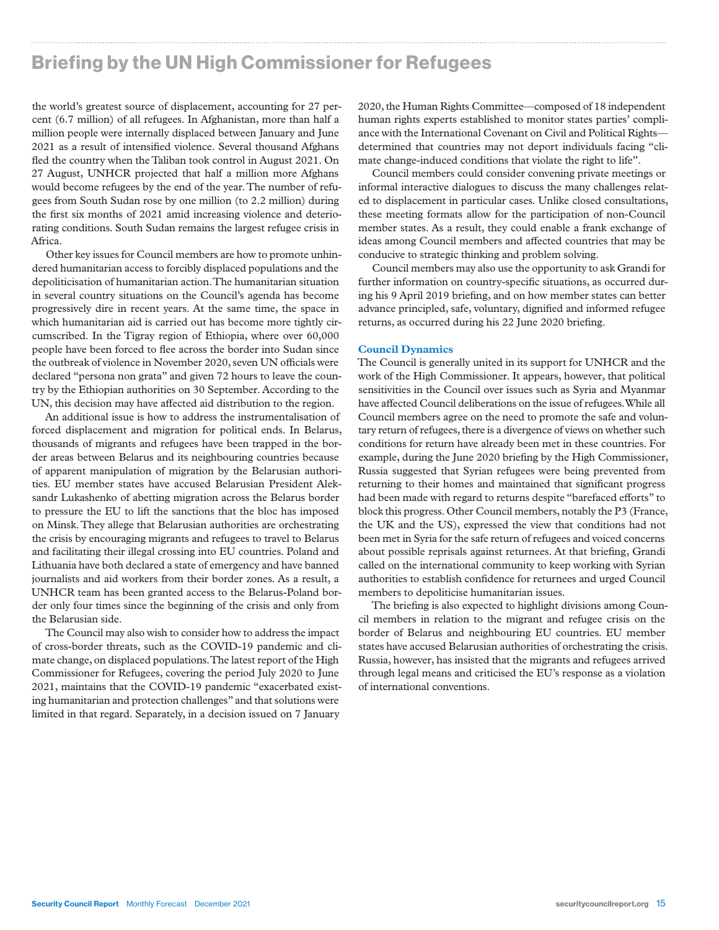# Briefing by the UN High Commissioner for Refugees

the world's greatest source of displacement, accounting for 27 percent (6.7 million) of all refugees. In Afghanistan, more than half a million people were internally displaced between January and June 2021 as a result of intensified violence. Several thousand Afghans fled the country when the Taliban took control in August 2021. On 27 August, UNHCR projected that half a million more Afghans would become refugees by the end of the year. The number of refugees from South Sudan rose by one million (to 2.2 million) during the first six months of 2021 amid increasing violence and deteriorating conditions. South Sudan remains the largest refugee crisis in Africa.

Other key issues for Council members are how to promote unhindered humanitarian access to forcibly displaced populations and the depoliticisation of humanitarian action. The humanitarian situation in several country situations on the Council's agenda has become progressively dire in recent years. At the same time, the space in which humanitarian aid is carried out has become more tightly circumscribed. In the Tigray region of Ethiopia, where over 60,000 people have been forced to flee across the border into Sudan since the outbreak of violence in November 2020, seven UN officials were declared "persona non grata" and given 72 hours to leave the country by the Ethiopian authorities on 30 September. According to the UN, this decision may have affected aid distribution to the region.

An additional issue is how to address the instrumentalisation of forced displacement and migration for political ends. In Belarus, thousands of migrants and refugees have been trapped in the border areas between Belarus and its neighbouring countries because of apparent manipulation of migration by the Belarusian authorities. EU member states have accused Belarusian President Aleksandr Lukashenko of abetting migration across the Belarus border to pressure the EU to lift the sanctions that the bloc has imposed on Minsk. They allege that Belarusian authorities are orchestrating the crisis by encouraging migrants and refugees to travel to Belarus and facilitating their illegal crossing into EU countries. Poland and Lithuania have both declared a state of emergency and have banned journalists and aid workers from their border zones. As a result, a UNHCR team has been granted access to the Belarus-Poland border only four times since the beginning of the crisis and only from the Belarusian side.

The Council may also wish to consider how to address the impact of cross-border threats, such as the COVID-19 pandemic and climate change, on displaced populations. The latest report of the High Commissioner for Refugees, covering the period July 2020 to June 2021, maintains that the COVID-19 pandemic "exacerbated existing humanitarian and protection challenges" and that solutions were limited in that regard. Separately, in a decision issued on 7 January

2020, the Human Rights Committee—composed of 18 independent human rights experts established to monitor states parties' compliance with the International Covenant on Civil and Political Rights determined that countries may not deport individuals facing "climate change-induced conditions that violate the right to life".

Council members could consider convening private meetings or informal interactive dialogues to discuss the many challenges related to displacement in particular cases. Unlike closed consultations, these meeting formats allow for the participation of non-Council member states. As a result, they could enable a frank exchange of ideas among Council members and affected countries that may be conducive to strategic thinking and problem solving.

Council members may also use the opportunity to ask Grandi for further information on country-specific situations, as occurred during his 9 April 2019 briefing, and on how member states can better advance principled, safe, voluntary, dignified and informed refugee returns, as occurred during his 22 June 2020 briefing.

#### **Council Dynamics**

The Council is generally united in its support for UNHCR and the work of the High Commissioner. It appears, however, that political sensitivities in the Council over issues such as Syria and Myanmar have affected Council deliberations on the issue of refugees. While all Council members agree on the need to promote the safe and voluntary return of refugees, there is a divergence of views on whether such conditions for return have already been met in these countries. For example, during the June 2020 briefing by the High Commissioner, Russia suggested that Syrian refugees were being prevented from returning to their homes and maintained that significant progress had been made with regard to returns despite "barefaced efforts" to block this progress. Other Council members, notably the P3 (France, the UK and the US), expressed the view that conditions had not been met in Syria for the safe return of refugees and voiced concerns about possible reprisals against returnees. At that briefing, Grandi called on the international community to keep working with Syrian authorities to establish confidence for returnees and urged Council members to depoliticise humanitarian issues.

The briefing is also expected to highlight divisions among Council members in relation to the migrant and refugee crisis on the border of Belarus and neighbouring EU countries. EU member states have accused Belarusian authorities of orchestrating the crisis. Russia, however, has insisted that the migrants and refugees arrived through legal means and criticised the EU's response as a violation of international conventions.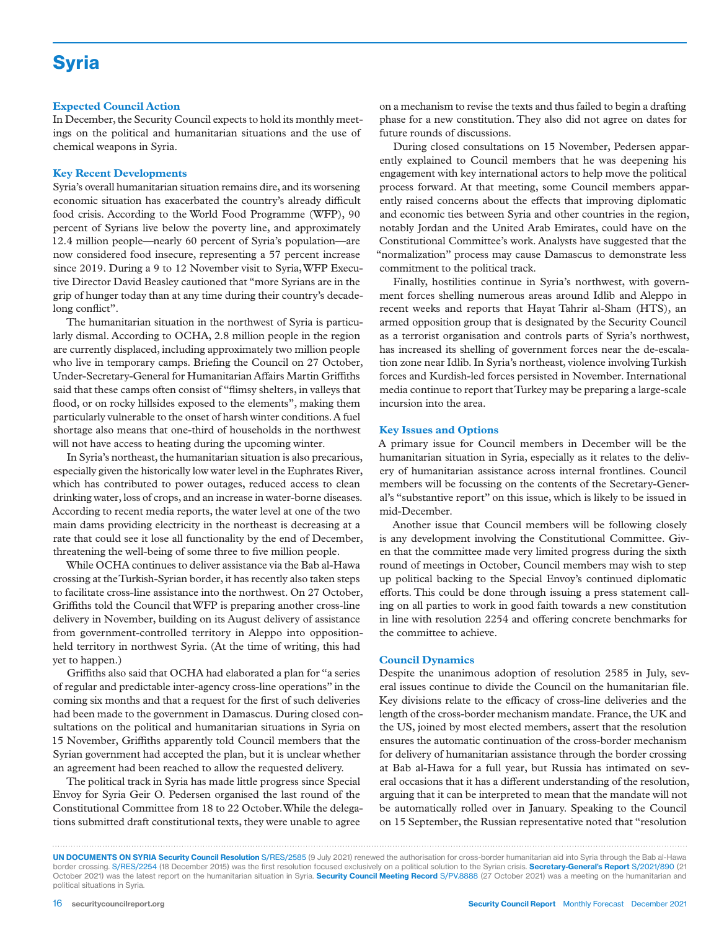# **Syria**

#### **Expected Council Action**

In December, the Security Council expects to hold its monthly meetings on the political and humanitarian situations and the use of chemical weapons in Syria.

#### **Key Recent Developments**

Syria's overall humanitarian situation remains dire, and its worsening economic situation has exacerbated the country's already difficult food crisis. According to the World Food Programme (WFP), 90 percent of Syrians live below the poverty line, and approximately 12.4 million people—nearly 60 percent of Syria's population—are now considered food insecure, representing a 57 percent increase since 2019. During a 9 to 12 November visit to Syria, WFP Executive Director David Beasley cautioned that "more Syrians are in the grip of hunger today than at any time during their country's decadelong conflict".

The humanitarian situation in the northwest of Syria is particularly dismal. According to OCHA, 2.8 million people in the region are currently displaced, including approximately two million people who live in temporary camps. Briefing the Council on 27 October, Under-Secretary-General for Humanitarian Affairs Martin Griffiths said that these camps often consist of "flimsy shelters, in valleys that flood, or on rocky hillsides exposed to the elements", making them particularly vulnerable to the onset of harsh winter conditions. A fuel shortage also means that one-third of households in the northwest will not have access to heating during the upcoming winter.

In Syria's northeast, the humanitarian situation is also precarious, especially given the historically low water level in the Euphrates River, which has contributed to power outages, reduced access to clean drinking water, loss of crops, and an increase in water-borne diseases. According to recent media reports, the water level at one of the two main dams providing electricity in the northeast is decreasing at a rate that could see it lose all functionality by the end of December, threatening the well-being of some three to five million people.

While OCHA continues to deliver assistance via the Bab al-Hawa crossing at the Turkish-Syrian border, it has recently also taken steps to facilitate cross-line assistance into the northwest. On 27 October, Griffiths told the Council that WFP is preparing another cross-line delivery in November, building on its August delivery of assistance from government-controlled territory in Aleppo into oppositionheld territory in northwest Syria. (At the time of writing, this had yet to happen.)

Griffiths also said that OCHA had elaborated a plan for "a series of regular and predictable inter-agency cross-line operations" in the coming six months and that a request for the first of such deliveries had been made to the government in Damascus. During closed consultations on the political and humanitarian situations in Syria on 15 November, Griffiths apparently told Council members that the Syrian government had accepted the plan, but it is unclear whether an agreement had been reached to allow the requested delivery.

The political track in Syria has made little progress since Special Envoy for Syria Geir O. Pedersen organised the last round of the Constitutional Committee from 18 to 22 October. While the delegations submitted draft constitutional texts, they were unable to agree

on a mechanism to revise the texts and thus failed to begin a drafting phase for a new constitution. They also did not agree on dates for future rounds of discussions.

During closed consultations on 15 November, Pedersen apparently explained to Council members that he was deepening his engagement with key international actors to help move the political process forward. At that meeting, some Council members apparently raised concerns about the effects that improving diplomatic and economic ties between Syria and other countries in the region, notably Jordan and the United Arab Emirates, could have on the Constitutional Committee's work. Analysts have suggested that the "normalization" process may cause Damascus to demonstrate less commitment to the political track.

Finally, hostilities continue in Syria's northwest, with government forces shelling numerous areas around Idlib and Aleppo in recent weeks and reports that Hayat Tahrir al-Sham (HTS), an armed opposition group that is designated by the Security Council as a terrorist organisation and controls parts of Syria's northwest, has increased its shelling of government forces near the de-escalation zone near Idlib. In Syria's northeast, violence involving Turkish forces and Kurdish-led forces persisted in November. International media continue to report that Turkey may be preparing a large-scale incursion into the area.

#### **Key Issues and Options**

A primary issue for Council members in December will be the humanitarian situation in Syria, especially as it relates to the delivery of humanitarian assistance across internal frontlines. Council members will be focussing on the contents of the Secretary-General's "substantive report" on this issue, which is likely to be issued in mid-December.

Another issue that Council members will be following closely is any development involving the Constitutional Committee. Given that the committee made very limited progress during the sixth round of meetings in October, Council members may wish to step up political backing to the Special Envoy's continued diplomatic efforts. This could be done through issuing a press statement calling on all parties to work in good faith towards a new constitution in line with resolution 2254 and offering concrete benchmarks for the committee to achieve.

#### **Council Dynamics**

Despite the unanimous adoption of resolution 2585 in July, several issues continue to divide the Council on the humanitarian file. Key divisions relate to the efficacy of cross-line deliveries and the length of the cross-border mechanism mandate. France, the UK and the US, joined by most elected members, assert that the resolution ensures the automatic continuation of the cross-border mechanism for delivery of humanitarian assistance through the border crossing at Bab al-Hawa for a full year, but Russia has intimated on several occasions that it has a different understanding of the resolution, arguing that it can be interpreted to mean that the mandate will not be automatically rolled over in January. Speaking to the Council on 15 September, the Russian representative noted that "resolution

UN DOCUMENTS ON SYRIA Security Council Resolution S/RES/2585 (9 July 2021) renewed the authorisation for cross-border humanitarian aid into Syria through the Bab al-Hawa border crossing. S/RES/2254 (18 December 2015) was the first resolution focused exclusively on a political solution to the Syrian crisis. Secretary-General's Report S/2021/890 (21 October 2021) was the latest report on the humanitarian situation in Syria. Security Council Meeting Record S/PV.8888 (27 October 2021) was a meeting on the humanitarian and political situations in Syria.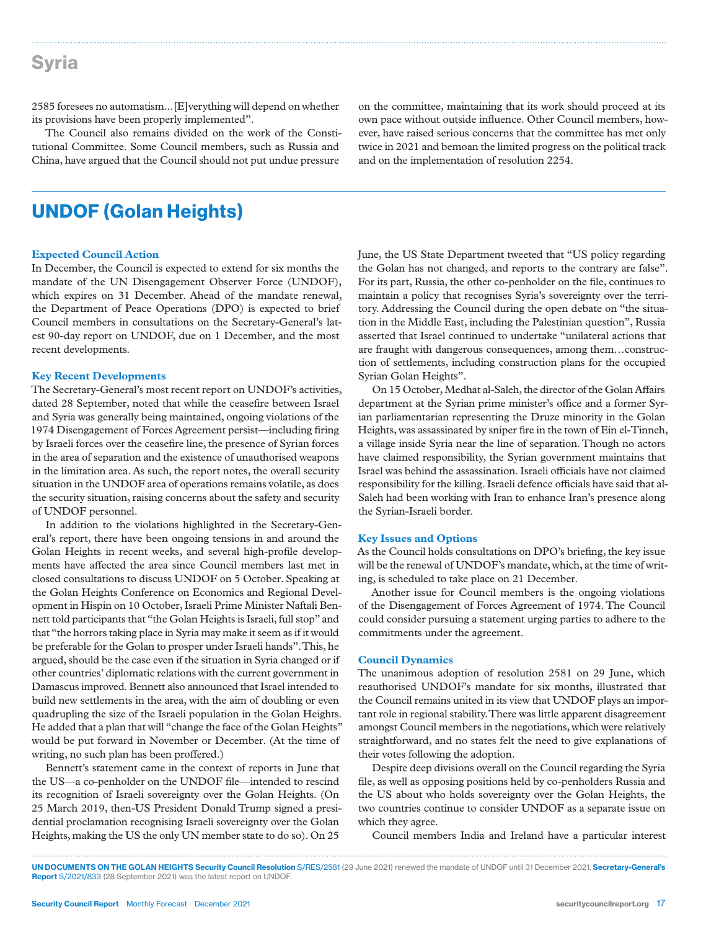### Syria

2585 foresees no automatism...[E]verything will depend on whether its provisions have been properly implemented".

The Council also remains divided on the work of the Constitutional Committee. Some Council members, such as Russia and China, have argued that the Council should not put undue pressure

# UNDOF (Golan Heights)

#### **Expected Council Action**

In December, the Council is expected to extend for six months the mandate of the UN Disengagement Observer Force (UNDOF), which expires on 31 December. Ahead of the mandate renewal, the Department of Peace Operations (DPO) is expected to brief Council members in consultations on the Secretary-General's latest 90-day report on UNDOF, due on 1 December, and the most recent developments.

#### **Key Recent Developments**

The Secretary-General's most recent report on UNDOF's activities, dated 28 September, noted that while the ceasefire between Israel and Syria was generally being maintained, ongoing violations of the 1974 Disengagement of Forces Agreement persist—including firing by Israeli forces over the ceasefire line, the presence of Syrian forces in the area of separation and the existence of unauthorised weapons in the limitation area. As such, the report notes, the overall security situation in the UNDOF area of operations remains volatile, as does the security situation, raising concerns about the safety and security of UNDOF personnel.

In addition to the violations highlighted in the Secretary-General's report, there have been ongoing tensions in and around the Golan Heights in recent weeks, and several high-profile developments have affected the area since Council members last met in closed consultations to discuss UNDOF on 5 October. Speaking at the Golan Heights Conference on Economics and Regional Development in Hispin on 10 October, Israeli Prime Minister Naftali Bennett told participants that "the Golan Heights is Israeli, full stop" and that "the horrors taking place in Syria may make it seem as if it would be preferable for the Golan to prosper under Israeli hands". This, he argued, should be the case even if the situation in Syria changed or if other countries' diplomatic relations with the current government in Damascus improved. Bennett also announced that Israel intended to build new settlements in the area, with the aim of doubling or even quadrupling the size of the Israeli population in the Golan Heights. He added that a plan that will "change the face of the Golan Heights" would be put forward in November or December. (At the time of writing, no such plan has been proffered.)

Bennett's statement came in the context of reports in June that the US—a co-penholder on the UNDOF file—intended to rescind its recognition of Israeli sovereignty over the Golan Heights. (On 25 March 2019, then-US President Donald Trump signed a presidential proclamation recognising Israeli sovereignty over the Golan Heights, making the US the only UN member state to do so). On 25

on the committee, maintaining that its work should proceed at its own pace without outside influence. Other Council members, however, have raised serious concerns that the committee has met only twice in 2021 and bemoan the limited progress on the political track and on the implementation of resolution 2254.

June, the US State Department tweeted that "US policy regarding the Golan has not changed, and reports to the contrary are false". For its part, Russia, the other co-penholder on the file, continues to maintain a policy that recognises Syria's sovereignty over the territory. Addressing the Council during the open debate on "the situation in the Middle East, including the Palestinian question", Russia asserted that Israel continued to undertake "unilateral actions that are fraught with dangerous consequences, among them…construction of settlements, including construction plans for the occupied Syrian Golan Heights".

On 15 October, Medhat al-Saleh, the director of the Golan Affairs department at the Syrian prime minister's office and a former Syrian parliamentarian representing the Druze minority in the Golan Heights, was assassinated by sniper fire in the town of Ein el-Tinneh, a village inside Syria near the line of separation. Though no actors have claimed responsibility, the Syrian government maintains that Israel was behind the assassination. Israeli officials have not claimed responsibility for the killing. Israeli defence officials have said that al-Saleh had been working with Iran to enhance Iran's presence along the Syrian-Israeli border.

#### **Key Issues and Options**

As the Council holds consultations on DPO's briefing, the key issue will be the renewal of UNDOF's mandate, which, at the time of writing, is scheduled to take place on 21 December.

Another issue for Council members is the ongoing violations of the Disengagement of Forces Agreement of 1974. The Council could consider pursuing a statement urging parties to adhere to the commitments under the agreement.

#### **Council Dynamics**

The unanimous adoption of resolution 2581 on 29 June, which reauthorised UNDOF's mandate for six months, illustrated that the Council remains united in its view that UNDOF plays an important role in regional stability. There was little apparent disagreement amongst Council members in the negotiations, which were relatively straightforward, and no states felt the need to give explanations of their votes following the adoption.

Despite deep divisions overall on the Council regarding the Syria file, as well as opposing positions held by co-penholders Russia and the US about who holds sovereignty over the Golan Heights, the two countries continue to consider UNDOF as a separate issue on which they agree.

Council members India and Ireland have a particular interest

UN DOCUMENTS ON THE GOLAN HEIGHTS Security Council Resolution S/RES/2581 (29 June 2021) renewed the mandate of UNDOF until 31 December 2021. Secretary-General's Report S/2021/833 (28 September 2021) was the latest report on UNDOF.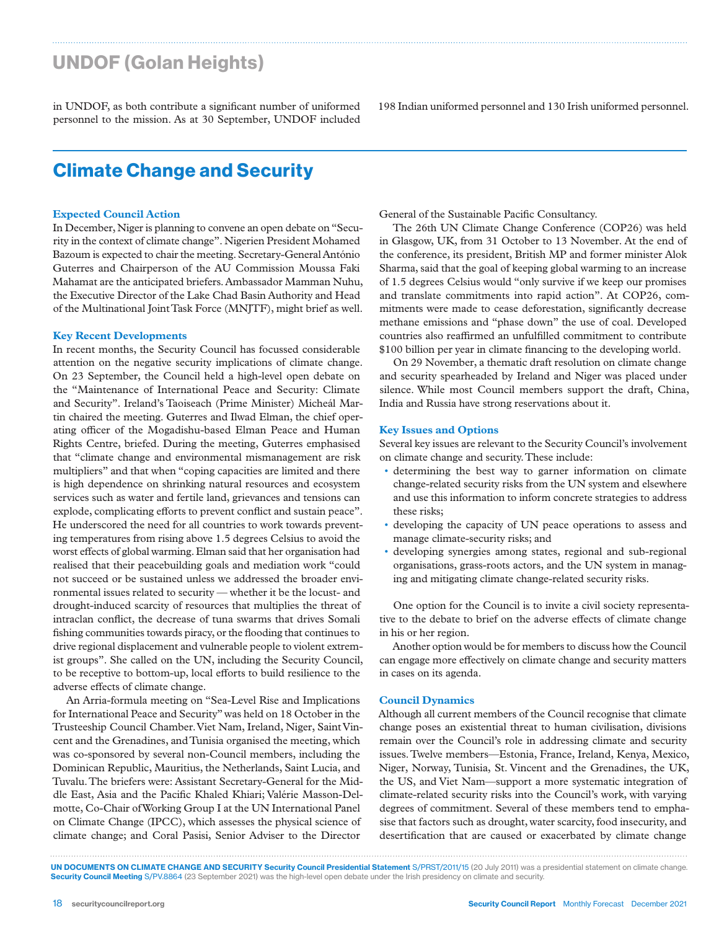# UNDOF (Golan Heights)

in UNDOF, as both contribute a significant number of uniformed personnel to the mission. As at 30 September, UNDOF included

# Climate Change and Security

#### **Expected Council Action**

In December, Niger is planning to convene an open debate on "Security in the context of climate change". Nigerien President Mohamed Bazoum is expected to chair the meeting. Secretary-General António Guterres and Chairperson of the AU Commission Moussa Faki Mahamat are the anticipated briefers. Ambassador Mamman Nuhu, the Executive Director of the Lake Chad Basin Authority and Head of the Multinational Joint Task Force (MNJTF), might brief as well.

#### **Key Recent Developments**

In recent months, the Security Council has focussed considerable attention on the negative security implications of climate change. On 23 September, the Council held a high-level open debate on the "Maintenance of International Peace and Security: Climate and Security". Ireland's Taoiseach (Prime Minister) Micheál Martin chaired the meeting. Guterres and Ilwad Elman, the chief operating officer of the Mogadishu-based Elman Peace and Human Rights Centre, briefed. During the meeting, Guterres emphasised that "climate change and environmental mismanagement are risk multipliers" and that when "coping capacities are limited and there is high dependence on shrinking natural resources and ecosystem services such as water and fertile land, grievances and tensions can explode, complicating efforts to prevent conflict and sustain peace". He underscored the need for all countries to work towards preventing temperatures from rising above 1.5 degrees Celsius to avoid the worst effects of global warming. Elman said that her organisation had realised that their peacebuilding goals and mediation work "could not succeed or be sustained unless we addressed the broader environmental issues related to security — whether it be the locust- and drought-induced scarcity of resources that multiplies the threat of intraclan conflict, the decrease of tuna swarms that drives Somali fishing communities towards piracy, or the flooding that continues to drive regional displacement and vulnerable people to violent extremist groups". She called on the UN, including the Security Council, to be receptive to bottom-up, local efforts to build resilience to the adverse effects of climate change.

An Arria-formula meeting on "Sea-Level Rise and Implications for International Peace and Security" was held on 18 October in the Trusteeship Council Chamber. Viet Nam, Ireland, Niger, Saint Vincent and the Grenadines, and Tunisia organised the meeting, which was co-sponsored by several non-Council members, including the Dominican Republic, Mauritius, the Netherlands, Saint Lucia, and Tuvalu. The briefers were: Assistant Secretary-General for the Middle East, Asia and the Pacific Khaled Khiari; Valérie Masson-Delmotte, Co-Chair of Working Group I at the UN International Panel on Climate Change (IPCC), which assesses the physical science of climate change; and Coral Pasisi, Senior Adviser to the Director

198 Indian uniformed personnel and 130 Irish uniformed personnel.

General of the Sustainable Pacific Consultancy.

The 26th UN Climate Change Conference (COP26) was held in Glasgow, UK, from 31 October to 13 November. At the end of the conference, its president, British MP and former minister Alok Sharma, said that the goal of keeping global warming to an increase of 1.5 degrees Celsius would "only survive if we keep our promises and translate commitments into rapid action". At COP26, commitments were made to cease deforestation, significantly decrease methane emissions and "phase down" the use of coal. Developed countries also reaffirmed an unfulfilled commitment to contribute \$100 billion per year in climate financing to the developing world.

On 29 November, a thematic draft resolution on climate change and security spearheaded by Ireland and Niger was placed under silence. While most Council members support the draft, China, India and Russia have strong reservations about it.

#### **Key Issues and Options**

Several key issues are relevant to the Security Council's involvement on climate change and security. These include:

- determining the best way to garner information on climate change-related security risks from the UN system and elsewhere and use this information to inform concrete strategies to address these risks;
- developing the capacity of UN peace operations to assess and manage climate-security risks; and
- developing synergies among states, regional and sub-regional organisations, grass-roots actors, and the UN system in managing and mitigating climate change-related security risks.

One option for the Council is to invite a civil society representative to the debate to brief on the adverse effects of climate change in his or her region.

Another option would be for members to discuss how the Council can engage more effectively on climate change and security matters in cases on its agenda.

#### **Council Dynamics**

Although all current members of the Council recognise that climate change poses an existential threat to human civilisation, divisions remain over the Council's role in addressing climate and security issues. Twelve members—Estonia, France, Ireland, Kenya, Mexico, Niger, Norway, Tunisia, St. Vincent and the Grenadines, the UK, the US, and Viet Nam—support a more systematic integration of climate-related security risks into the Council's work, with varying degrees of commitment. Several of these members tend to emphasise that factors such as drought, water scarcity, food insecurity, and desertification that are caused or exacerbated by climate change

UN DOCUMENTS ON CLIMATE CHANGE AND SECURITY Security Council Presidential Statement S/PRST/2011/15 (20 July 2011) was a presidential statement on climate change. Security Council Meeting S/PV.8864 (23 September 2021) was the high-level open debate under the Irish presidency on climate and security.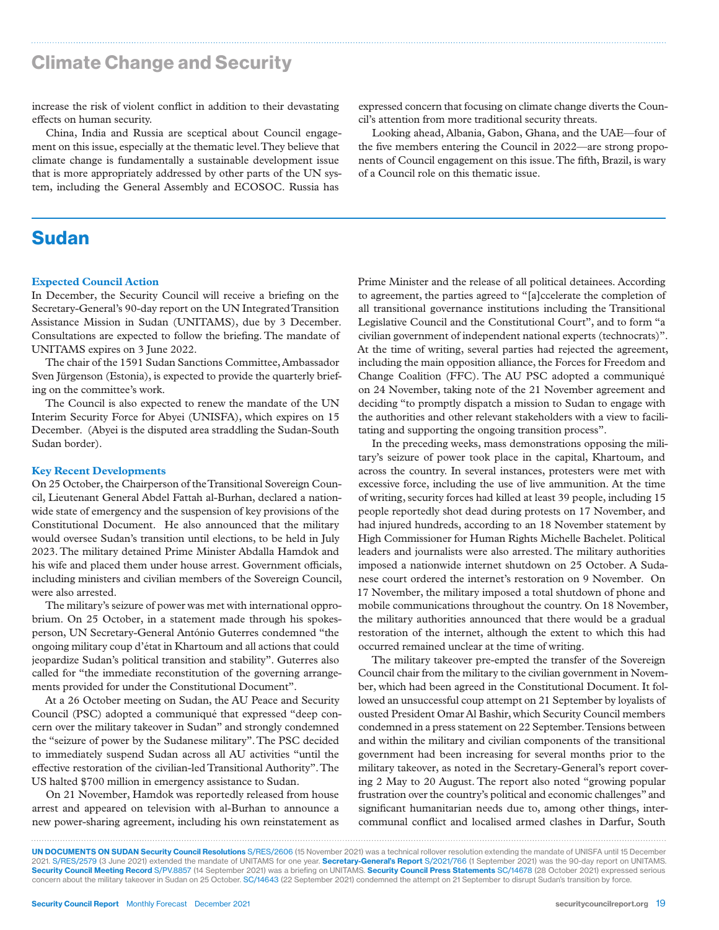# Climate Change and Security

increase the risk of violent conflict in addition to their devastating effects on human security.

China, India and Russia are sceptical about Council engagement on this issue, especially at the thematic level. They believe that climate change is fundamentally a sustainable development issue that is more appropriately addressed by other parts of the UN system, including the General Assembly and ECOSOC. Russia has

### Sudan

#### **Expected Council Action**

In December, the Security Council will receive a briefing on the Secretary-General's 90-day report on the UN Integrated Transition Assistance Mission in Sudan (UNITAMS), due by 3 December. Consultations are expected to follow the briefing. The mandate of UNITAMS expires on 3 June 2022.

The chair of the 1591 Sudan Sanctions Committee, Ambassador Sven Jürgenson (Estonia), is expected to provide the quarterly briefing on the committee's work.

The Council is also expected to renew the mandate of the UN Interim Security Force for Abyei (UNISFA), which expires on 15 December. (Abyei is the disputed area straddling the Sudan-South Sudan border).

#### **Key Recent Developments**

On 25 October, the Chairperson of the Transitional Sovereign Council, Lieutenant General Abdel Fattah al-Burhan, declared a nationwide state of emergency and the suspension of key provisions of the Constitutional Document. He also announced that the military would oversee Sudan's transition until elections, to be held in July 2023. The military detained Prime Minister Abdalla Hamdok and his wife and placed them under house arrest. Government officials, including ministers and civilian members of the Sovereign Council, were also arrested.

The military's seizure of power was met with international opprobrium. On 25 October, in a statement made through his spokesperson, UN Secretary-General António Guterres condemned "the ongoing military coup d'état in Khartoum and all actions that could jeopardize Sudan's political transition and stability". Guterres also called for "the immediate reconstitution of the governing arrangements provided for under the Constitutional Document".

At a 26 October meeting on Sudan, the AU Peace and Security Council (PSC) adopted a communiqué that expressed "deep concern over the military takeover in Sudan" and strongly condemned the "seizure of power by the Sudanese military". The PSC decided to immediately suspend Sudan across all AU activities "until the effective restoration of the civilian-led Transitional Authority". The US halted \$700 million in emergency assistance to Sudan.

On 21 November, Hamdok was reportedly released from house arrest and appeared on television with al-Burhan to announce a new power-sharing agreement, including his own reinstatement as

expressed concern that focusing on climate change diverts the Council's attention from more traditional security threats.

Looking ahead, Albania, Gabon, Ghana, and the UAE—four of the five members entering the Council in 2022—are strong proponents of Council engagement on this issue. The fifth, Brazil, is wary of a Council role on this thematic issue.

Prime Minister and the release of all political detainees. According to agreement, the parties agreed to "[a]ccelerate the completion of all transitional governance institutions including the Transitional Legislative Council and the Constitutional Court", and to form "a civilian government of independent national experts (technocrats)". At the time of writing, several parties had rejected the agreement, including the main opposition alliance, the Forces for Freedom and Change Coalition (FFC). The AU PSC adopted a communiqué on 24 November, taking note of the 21 November agreement and deciding "to promptly dispatch a mission to Sudan to engage with the authorities and other relevant stakeholders with a view to facilitating and supporting the ongoing transition process".

In the preceding weeks, mass demonstrations opposing the military's seizure of power took place in the capital, Khartoum, and across the country. In several instances, protesters were met with excessive force, including the use of live ammunition. At the time of writing, security forces had killed at least 39 people, including 15 people reportedly shot dead during protests on 17 November, and had injured hundreds, according to an 18 November statement by High Commissioner for Human Rights Michelle Bachelet. Political leaders and journalists were also arrested. The military authorities imposed a nationwide internet shutdown on 25 October. A Sudanese court ordered the internet's restoration on 9 November. On 17 November, the military imposed a total shutdown of phone and mobile communications throughout the country. On 18 November, the military authorities announced that there would be a gradual restoration of the internet, although the extent to which this had occurred remained unclear at the time of writing.

The military takeover pre-empted the transfer of the Sovereign Council chair from the military to the civilian government in November, which had been agreed in the Constitutional Document. It followed an unsuccessful coup attempt on 21 September by loyalists of ousted President Omar Al Bashir, which Security Council members condemned in a press statement on 22 September. Tensions between and within the military and civilian components of the transitional government had been increasing for several months prior to the military takeover, as noted in the Secretary-General's report covering 2 May to 20 August. The report also noted "growing popular frustration over the country's political and economic challenges" and significant humanitarian needs due to, among other things, intercommunal conflict and localised armed clashes in Darfur, South

UN DOCUMENTS ON SUDAN Security Council Resolutions S/RES/2606 (15 November 2021) was a technical rollover resolution extending the mandate of UNISFA until 15 December 2021. S/RES/2579 (3 June 2021) extended the mandate of UNITAMS for one year. Secretary-General's Report S/2021/766 (1 September 2021) was the 90-day report on UNITAMS. Security Council Meeting Record S/PV.8857 (14 September 2021) was a briefing on UNITAMS. Security Council Press Statements SC/14678 (28 October 2021) expressed serious concern about the military takeover in Sudan on 25 October. SC/14643 (22 September 2021) condemned the attempt on 21 September to disrupt Sudan's transition by force.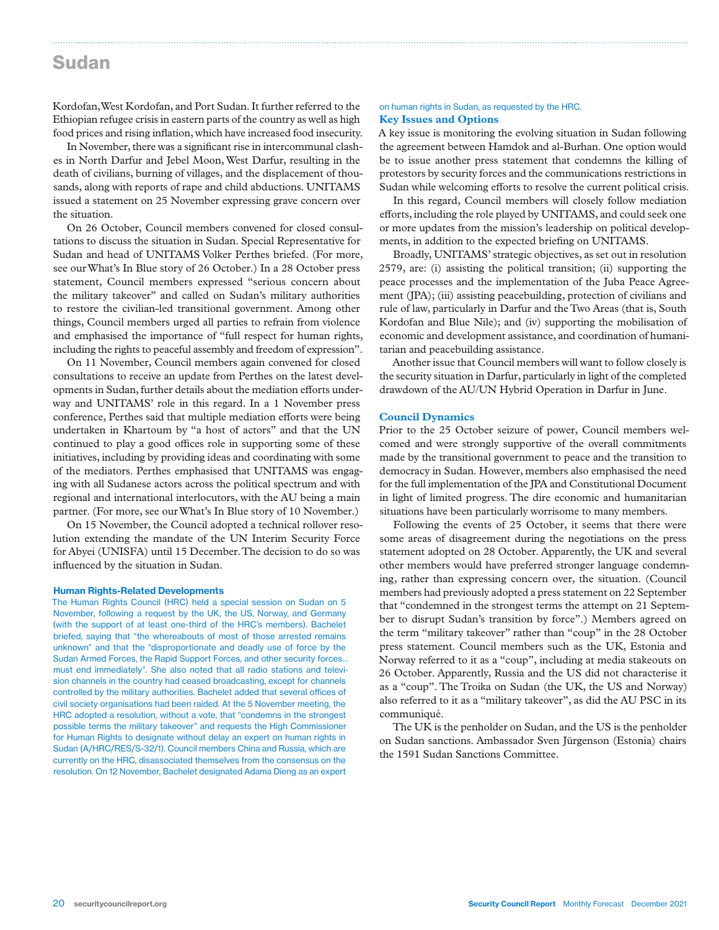### Sudan

Kordofan, West Kordofan, and Port Sudan. It further referred to the Ethiopian refugee crisis in eastern parts of the country as well as high food prices and rising inflation, which have increased food insecurity.

In November, there was a significant rise in intercommunal clashes in North Darfur and Jebel Moon, West Darfur, resulting in the death of civilians, burning of villages, and the displacement of thousands, along with reports of rape and child abductions. UNITAMS issued a statement on 25 November expressing grave concern over the situation.

On 26 October, Council members convened for closed consultations to discuss the situation in Sudan. Special Representative for Sudan and head of UNITAMS Volker Perthes briefed. (For more, see our What's In Blue story of 26 October.) In a 28 October press statement, Council members expressed "serious concern about the military takeover" and called on Sudan's military authorities to restore the civilian-led transitional government. Among other things, Council members urged all parties to refrain from violence and emphasised the importance of "full respect for human rights, including the rights to peaceful assembly and freedom of expression".

On 11 November, Council members again convened for closed consultations to receive an update from Perthes on the latest developments in Sudan, further details about the mediation efforts underway and UNITAMS' role in this regard. In a 1 November press conference, Perthes said that multiple mediation efforts were being undertaken in Khartoum by "a host of actors" and that the UN continued to play a good offices role in supporting some of these initiatives, including by providing ideas and coordinating with some of the mediators. Perthes emphasised that UNITAMS was engaging with all Sudanese actors across the political spectrum and with regional and international interlocutors, with the AU being a main partner. (For more, see our What's In Blue story of 10 November.)

On 15 November, the Council adopted a technical rollover resolution extending the mandate of the UN Interim Security Force for Abyei (UNISFA) until 15 December. The decision to do so was influenced by the situation in Sudan.

#### Human Rights-Related Developments

The Human Rights Council (HRC) held a special session on Sudan on 5 November, following a request by the UK, the US, Norway, and Germany (with the support of at least one-third of the HRC's members). Bachelet briefed, saying that "the whereabouts of most of those arrested remains unknown" and that the "disproportionate and deadly use of force by the Sudan Armed Forces, the Rapid Support Forces, and other security forces… must end immediately". She also noted that all radio stations and television channels in the country had ceased broadcasting, except for channels controlled by the military authorities. Bachelet added that several offices of civil society organisations had been raided. At the 5 November meeting, the HRC adopted a resolution, without a vote, that "condemns in the strongest possible terms the military takeover" and requests the High Commissioner for Human Rights to designate without delay an expert on human rights in Sudan (A/HRC/RES/S-32/1). Council members China and Russia, which are currently on the HRC, disassociated themselves from the consensus on the resolution. On 12 November, Bachelet designated Adama Dieng as an expert

#### on human rights in Sudan, as requested by the HRC. **Key Issues and Options**

A key issue is monitoring the evolving situation in Sudan following the agreement between Hamdok and al-Burhan. One option would be to issue another press statement that condemns the killing of protestors by security forces and the communications restrictions in Sudan while welcoming efforts to resolve the current political crisis.

In this regard, Council members will closely follow mediation efforts, including the role played by UNITAMS, and could seek one or more updates from the mission's leadership on political developments, in addition to the expected briefing on UNITAMS.

Broadly, UNITAMS' strategic objectives, as set out in resolution 2579, are: (i) assisting the political transition; (ii) supporting the peace processes and the implementation of the Juba Peace Agreement (JPA); (iii) assisting peacebuilding, protection of civilians and rule of law, particularly in Darfur and the Two Areas (that is, South Kordofan and Blue Nile); and (iv) supporting the mobilisation of economic and development assistance, and coordination of humanitarian and peacebuilding assistance.

Another issue that Council members will want to follow closely is the security situation in Darfur, particularly in light of the completed drawdown of the AU/UN Hybrid Operation in Darfur in June.

#### **Council Dynamics**

Prior to the 25 October seizure of power, Council members welcomed and were strongly supportive of the overall commitments made by the transitional government to peace and the transition to democracy in Sudan. However, members also emphasised the need for the full implementation of the JPA and Constitutional Document in light of limited progress. The dire economic and humanitarian situations have been particularly worrisome to many members.

Following the events of 25 October, it seems that there were some areas of disagreement during the negotiations on the press statement adopted on 28 October. Apparently, the UK and several other members would have preferred stronger language condemning, rather than expressing concern over, the situation. (Council members had previously adopted a press statement on 22 September that "condemned in the strongest terms the attempt on 21 September to disrupt Sudan's transition by force".) Members agreed on the term "military takeover" rather than "coup" in the 28 October press statement. Council members such as the UK, Estonia and Norway referred to it as a "coup", including at media stakeouts on 26 October. Apparently, Russia and the US did not characterise it as a "coup". The Troika on Sudan (the UK, the US and Norway) also referred to it as a "military takeover", as did the AU PSC in its communiqué.

The UK is the penholder on Sudan, and the US is the penholder on Sudan sanctions. Ambassador Sven Jürgenson (Estonia) chairs the 1591 Sudan Sanctions Committee.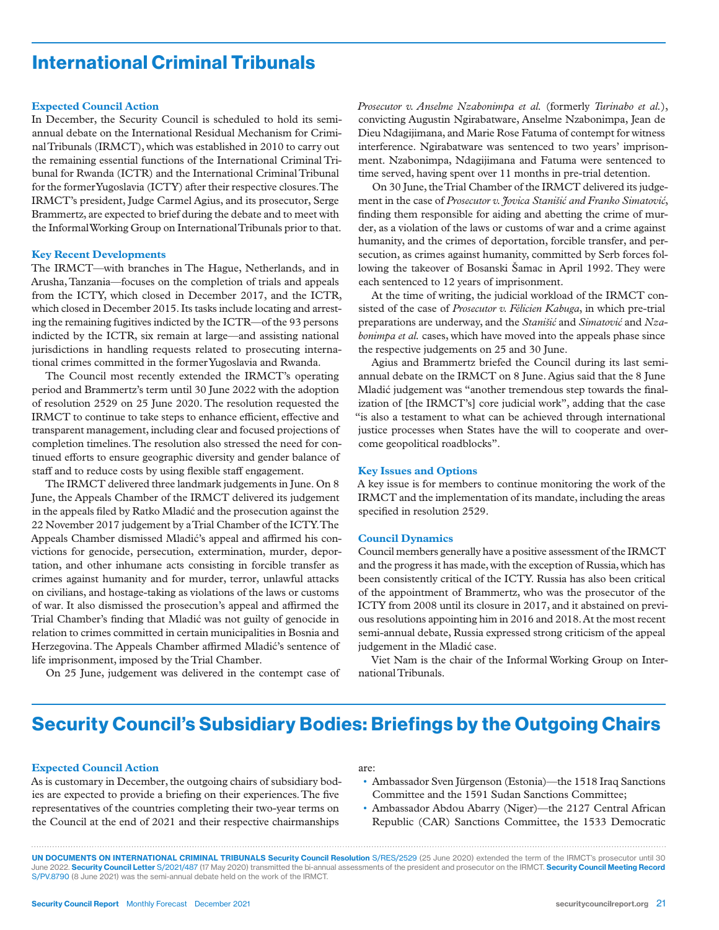# International Criminal Tribunals

#### **Expected Council Action**

In December, the Security Council is scheduled to hold its semiannual debate on the International Residual Mechanism for Criminal Tribunals (IRMCT), which was established in 2010 to carry out the remaining essential functions of the International Criminal Tribunal for Rwanda (ICTR) and the International Criminal Tribunal for the former Yugoslavia (ICTY) after their respective closures. The IRMCT's president, Judge Carmel Agius, and its prosecutor, Serge Brammertz, are expected to brief during the debate and to meet with the Informal Working Group on International Tribunals prior to that.

#### **Key Recent Developments**

The IRMCT—with branches in The Hague, Netherlands, and in Arusha, Tanzania—focuses on the completion of trials and appeals from the ICTY, which closed in December 2017, and the ICTR, which closed in December 2015. Its tasks include locating and arresting the remaining fugitives indicted by the ICTR—of the 93 persons indicted by the ICTR, six remain at large—and assisting national jurisdictions in handling requests related to prosecuting international crimes committed in the former Yugoslavia and Rwanda.

The Council most recently extended the IRMCT's operating period and Brammertz's term until 30 June 2022 with the adoption of resolution 2529 on 25 June 2020. The resolution requested the IRMCT to continue to take steps to enhance efficient, effective and transparent management, including clear and focused projections of completion timelines. The resolution also stressed the need for continued efforts to ensure geographic diversity and gender balance of staff and to reduce costs by using flexible staff engagement.

The IRMCT delivered three landmark judgements in June. On 8 June, the Appeals Chamber of the IRMCT delivered its judgement in the appeals filed by Ratko Mladić and the prosecution against the 22 November 2017 judgement by a Trial Chamber of the ICTY. The Appeals Chamber dismissed Mladić's appeal and affirmed his convictions for genocide, persecution, extermination, murder, deportation, and other inhumane acts consisting in forcible transfer as crimes against humanity and for murder, terror, unlawful attacks on civilians, and hostage-taking as violations of the laws or customs of war. It also dismissed the prosecution's appeal and affirmed the Trial Chamber's finding that Mladić was not guilty of genocide in relation to crimes committed in certain municipalities in Bosnia and Herzegovina. The Appeals Chamber affirmed Mladić's sentence of life imprisonment, imposed by the Trial Chamber.

On 25 June, judgement was delivered in the contempt case of

*Prosecutor v. Anselme Nzabonimpa et al.* (formerly *Turinabo et al.*), convicting Augustin Ngirabatware, Anselme Nzabonimpa, Jean de Dieu Ndagijimana, and Marie Rose Fatuma of contempt for witness interference. Ngirabatware was sentenced to two years' imprisonment. Nzabonimpa, Ndagijimana and Fatuma were sentenced to time served, having spent over 11 months in pre-trial detention.

On 30 June, the Trial Chamber of the IRMCT delivered its judgement in the case of *Prosecutor v. Jovica Stanišić and Franko Simatović*, finding them responsible for aiding and abetting the crime of murder, as a violation of the laws or customs of war and a crime against humanity, and the crimes of deportation, forcible transfer, and persecution, as crimes against humanity, committed by Serb forces following the takeover of Bosanski Šamac in April 1992. They were each sentenced to 12 years of imprisonment.

At the time of writing, the judicial workload of the IRMCT consisted of the case of *Prosecutor v. Félicien Kabuga*, in which pre-trial preparations are underway, and the *Stanišić* and *Simatović* and *Nzabonimpa et al.* cases, which have moved into the appeals phase since the respective judgements on 25 and 30 June.

Agius and Brammertz briefed the Council during its last semiannual debate on the IRMCT on 8 June. Agius said that the 8 June Mladić judgement was "another tremendous step towards the finalization of [the IRMCT's] core judicial work", adding that the case "is also a testament to what can be achieved through international justice processes when States have the will to cooperate and overcome geopolitical roadblocks".

#### **Key Issues and Options**

A key issue is for members to continue monitoring the work of the IRMCT and the implementation of its mandate, including the areas specified in resolution 2529.

#### **Council Dynamics**

Council members generally have a positive assessment of the IRMCT and the progress it has made, with the exception of Russia, which has been consistently critical of the ICTY. Russia has also been critical of the appointment of Brammertz, who was the prosecutor of the ICTY from 2008 until its closure in 2017, and it abstained on previous resolutions appointing him in 2016 and 2018. At the most recent semi-annual debate, Russia expressed strong criticism of the appeal judgement in the Mladić case.

Viet Nam is the chair of the Informal Working Group on International Tribunals.

### Security Council's Subsidiary Bodies: Briefings by the Outgoing Chairs

#### **Expected Council Action**

As is customary in December, the outgoing chairs of subsidiary bodies are expected to provide a briefing on their experiences. The five representatives of the countries completing their two-year terms on the Council at the end of 2021 and their respective chairmanships

#### are:

- Ambassador Sven Jürgenson (Estonia)—the 1518 Iraq Sanctions Committee and the 1591 Sudan Sanctions Committee;
- Ambassador Abdou Abarry (Niger)—the 2127 Central African Republic (CAR) Sanctions Committee, the 1533 Democratic

UN DOCUMENTS ON INTERNATIONAL CRIMINAL TRIBUNALS Security Council Resolution S/RES/2529 (25 June 2020) extended the term of the IRMCT's prosecutor until 30 June 2022. Security Council Letter S/2021/487 (17 May 2020) transmitted the bi-annual assessments of the president and prosecutor on the IRMCT. Security Council Meeting Record S/PV.8790 (8 June 2021) was the semi-annual debate held on the work of the IRMCT.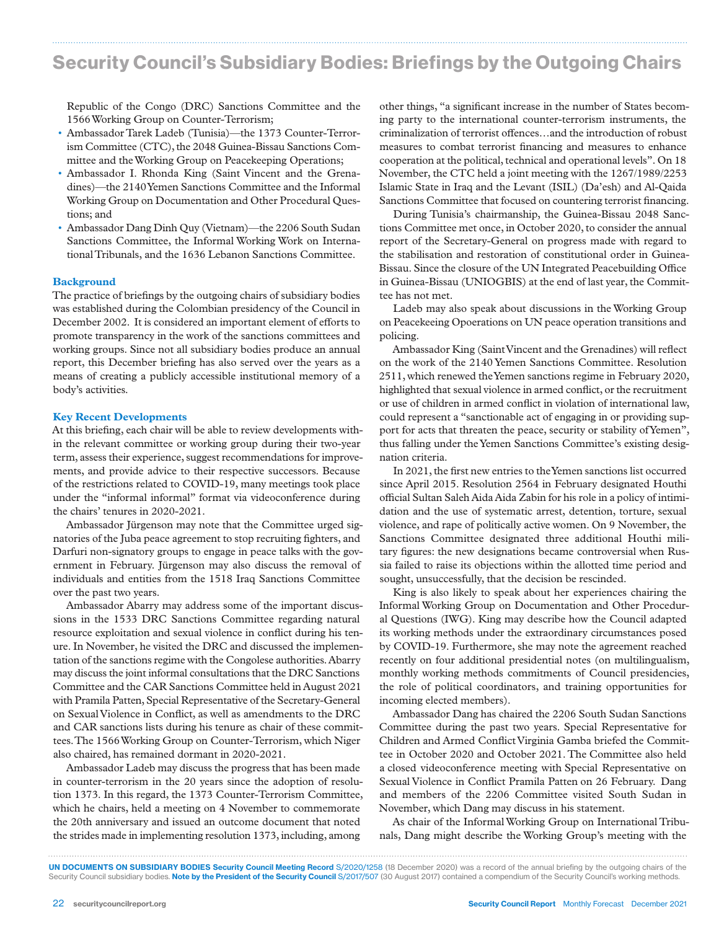# Security Council's Subsidiary Bodies: Briefings by the Outgoing Chairs

Republic of the Congo (DRC) Sanctions Committee and the 1566 Working Group on Counter-Terrorism;

- Ambassador Tarek Ladeb (Tunisia)—the 1373 Counter-Terrorism Committee (CTC), the 2048 Guinea-Bissau Sanctions Committee and the Working Group on Peacekeeping Operations;
- Ambassador I. Rhonda King (Saint Vincent and the Grenadines)—the 2140 Yemen Sanctions Committee and the Informal Working Group on Documentation and Other Procedural Questions; and
- Ambassador Dang Dinh Quy (Vietnam)—the 2206 South Sudan Sanctions Committee, the Informal Working Work on International Tribunals, and the 1636 Lebanon Sanctions Committee.

#### **Background**

The practice of briefings by the outgoing chairs of subsidiary bodies was established during the Colombian presidency of the Council in December 2002. It is considered an important element of efforts to promote transparency in the work of the sanctions committees and working groups. Since not all subsidiary bodies produce an annual report, this December briefing has also served over the years as a means of creating a publicly accessible institutional memory of a body's activities.

#### **Key Recent Developments**

At this briefing, each chair will be able to review developments within the relevant committee or working group during their two-year term, assess their experience, suggest recommendations for improvements, and provide advice to their respective successors. Because of the restrictions related to COVID-19, many meetings took place under the "informal informal" format via videoconference during the chairs' tenures in 2020-2021.

Ambassador Jürgenson may note that the Committee urged signatories of the Juba peace agreement to stop recruiting fighters, and Darfuri non-signatory groups to engage in peace talks with the government in February. Jürgenson may also discuss the removal of individuals and entities from the 1518 Iraq Sanctions Committee over the past two years.

Ambassador Abarry may address some of the important discussions in the 1533 DRC Sanctions Committee regarding natural resource exploitation and sexual violence in conflict during his tenure. In November, he visited the DRC and discussed the implementation of the sanctions regime with the Congolese authorities. Abarry may discuss the joint informal consultations that the DRC Sanctions Committee and the CAR Sanctions Committee held in August 2021 with Pramila Patten, Special Representative of the Secretary-General on Sexual Violence in Conflict, as well as amendments to the DRC and CAR sanctions lists during his tenure as chair of these committees. The 1566 Working Group on Counter-Terrorism, which Niger also chaired, has remained dormant in 2020-2021.

Ambassador Ladeb may discuss the progress that has been made in counter-terrorism in the 20 years since the adoption of resolution 1373. In this regard, the 1373 Counter-Terrorism Committee, which he chairs, held a meeting on 4 November to commemorate the 20th anniversary and issued an outcome document that noted the strides made in implementing resolution 1373, including, among

other things, "a significant increase in the number of States becoming party to the international counter-terrorism instruments, the criminalization of terrorist offences…and the introduction of robust measures to combat terrorist financing and measures to enhance cooperation at the political, technical and operational levels". On 18 November, the CTC held a joint meeting with the 1267/1989/2253 Islamic State in Iraq and the Levant (ISIL) (Da'esh) and Al-Qaida Sanctions Committee that focused on countering terrorist financing.

During Tunisia's chairmanship, the Guinea-Bissau 2048 Sanctions Committee met once, in October 2020, to consider the annual report of the Secretary-General on progress made with regard to the stabilisation and restoration of constitutional order in Guinea-Bissau. Since the closure of the UN Integrated Peacebuilding Office in Guinea-Bissau (UNIOGBIS) at the end of last year, the Committee has not met.

Ladeb may also speak about discussions in the Working Group on Peacekeeing Opoerations on UN peace operation transitions and policing.

Ambassador King (Saint Vincent and the Grenadines) will reflect on the work of the 2140 Yemen Sanctions Committee. Resolution 2511, which renewed the Yemen sanctions regime in February 2020, highlighted that sexual violence in armed conflict, or the recruitment or use of children in armed conflict in violation of international law, could represent a "sanctionable act of engaging in or providing support for acts that threaten the peace, security or stability of Yemen", thus falling under the Yemen Sanctions Committee's existing designation criteria.

In 2021, the first new entries to the Yemen sanctions list occurred since April 2015. Resolution 2564 in February designated Houthi official Sultan Saleh Aida Aida Zabin for his role in a policy of intimidation and the use of systematic arrest, detention, torture, sexual violence, and rape of politically active women. On 9 November, the Sanctions Committee designated three additional Houthi military figures: the new designations became controversial when Russia failed to raise its objections within the allotted time period and sought, unsuccessfully, that the decision be rescinded.

King is also likely to speak about her experiences chairing the Informal Working Group on Documentation and Other Procedural Questions (IWG). King may describe how the Council adapted its working methods under the extraordinary circumstances posed by COVID-19. Furthermore, she may note the agreement reached recently on four additional presidential notes (on multilingualism, monthly working methods commitments of Council presidencies, the role of political coordinators, and training opportunities for incoming elected members).

Ambassador Dang has chaired the 2206 South Sudan Sanctions Committee during the past two years. Special Representative for Children and Armed Conflict Virginia Gamba briefed the Committee in October 2020 and October 2021. The Committee also held a closed videoconference meeting with Special Representative on Sexual Violence in Conflict Pramila Patten on 26 February. Dang and members of the 2206 Committee visited South Sudan in November, which Dang may discuss in his statement.

As chair of the Informal Working Group on International Tribunals, Dang might describe the Working Group's meeting with the

UN DOCUMENTS ON SUBSIDIARY BODIES Security Council Meeting Record S/2020/1258 (18 December 2020) was a record of the annual briefing by the outgoing chairs of the

Security Council subsidiary bodies. Note by the President of the Security Council S/2017/507 (30 August 2017) contained a compendium of the Security Council's working methods.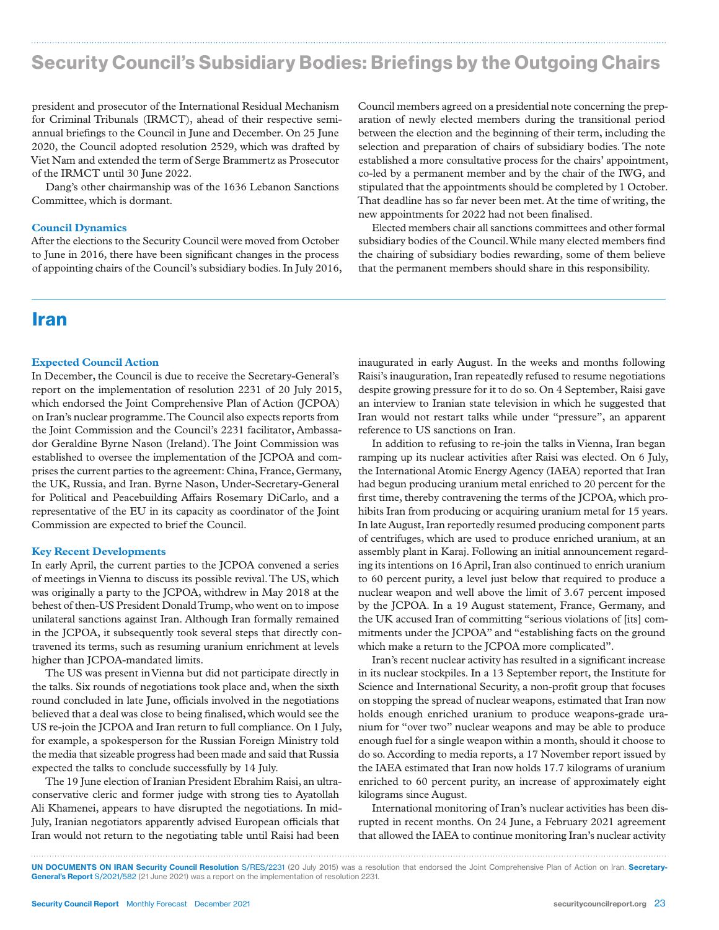# Security Council's Subsidiary Bodies: Briefings by the Outgoing Chairs

president and prosecutor of the International Residual Mechanism for Criminal Tribunals (IRMCT), ahead of their respective semiannual briefings to the Council in June and December. On 25 June 2020, the Council adopted resolution 2529, which was drafted by Viet Nam and extended the term of Serge Brammertz as Prosecutor of the IRMCT until 30 June 2022.

Dang's other chairmanship was of the 1636 Lebanon Sanctions Committee, which is dormant.

#### **Council Dynamics**

After the elections to the Security Council were moved from October to June in 2016, there have been significant changes in the process of appointing chairs of the Council's subsidiary bodies. In July 2016,

### Iran

#### **Expected Council Action**

In December, the Council is due to receive the Secretary-General's report on the implementation of resolution 2231 of 20 July 2015, which endorsed the Joint Comprehensive Plan of Action (JCPOA) on Iran's nuclear programme. The Council also expects reports from the Joint Commission and the Council's 2231 facilitator, Ambassador Geraldine Byrne Nason (Ireland). The Joint Commission was established to oversee the implementation of the JCPOA and comprises the current parties to the agreement: China, France, Germany, the UK, Russia, and Iran. Byrne Nason, Under-Secretary-General for Political and Peacebuilding Affairs Rosemary DiCarlo, and a representative of the EU in its capacity as coordinator of the Joint Commission are expected to brief the Council.

#### **Key Recent Developments**

In early April, the current parties to the JCPOA convened a series of meetings in Vienna to discuss its possible revival. The US, which was originally a party to the JCPOA, withdrew in May 2018 at the behest of then-US President Donald Trump, who went on to impose unilateral sanctions against Iran. Although Iran formally remained in the JCPOA, it subsequently took several steps that directly contravened its terms, such as resuming uranium enrichment at levels higher than JCPOA-mandated limits.

The US was present in Vienna but did not participate directly in the talks. Six rounds of negotiations took place and, when the sixth round concluded in late June, officials involved in the negotiations believed that a deal was close to being finalised, which would see the US re-join the JCPOA and Iran return to full compliance. On 1 July, for example, a spokesperson for the Russian Foreign Ministry told the media that sizeable progress had been made and said that Russia expected the talks to conclude successfully by 14 July.

The 19 June election of Iranian President Ebrahim Raisi, an ultraconservative cleric and former judge with strong ties to Ayatollah Ali Khamenei, appears to have disrupted the negotiations. In mid-July, Iranian negotiators apparently advised European officials that Iran would not return to the negotiating table until Raisi had been

Council members agreed on a presidential note concerning the preparation of newly elected members during the transitional period between the election and the beginning of their term, including the selection and preparation of chairs of subsidiary bodies. The note established a more consultative process for the chairs' appointment, co-led by a permanent member and by the chair of the IWG, and stipulated that the appointments should be completed by 1 October. That deadline has so far never been met. At the time of writing, the new appointments for 2022 had not been finalised.

Elected members chair all sanctions committees and other formal subsidiary bodies of the Council. While many elected members find the chairing of subsidiary bodies rewarding, some of them believe that the permanent members should share in this responsibility.

inaugurated in early August. In the weeks and months following Raisi's inauguration, Iran repeatedly refused to resume negotiations despite growing pressure for it to do so. On 4 September, Raisi gave an interview to Iranian state television in which he suggested that Iran would not restart talks while under "pressure", an apparent reference to US sanctions on Iran.

In addition to refusing to re-join the talks in Vienna, Iran began ramping up its nuclear activities after Raisi was elected. On 6 July, the International Atomic Energy Agency (IAEA) reported that Iran had begun producing uranium metal enriched to 20 percent for the first time, thereby contravening the terms of the JCPOA, which prohibits Iran from producing or acquiring uranium metal for 15 years. In late August, Iran reportedly resumed producing component parts of centrifuges, which are used to produce enriched uranium, at an assembly plant in Karaj. Following an initial announcement regarding its intentions on 16 April, Iran also continued to enrich uranium to 60 percent purity, a level just below that required to produce a nuclear weapon and well above the limit of 3.67 percent imposed by the JCPOA. In a 19 August statement, France, Germany, and the UK accused Iran of committing "serious violations of [its] commitments under the JCPOA" and "establishing facts on the ground which make a return to the JCPOA more complicated".

Iran's recent nuclear activity has resulted in a significant increase in its nuclear stockpiles. In a 13 September report, the Institute for Science and International Security, a non-profit group that focuses on stopping the spread of nuclear weapons, estimated that Iran now holds enough enriched uranium to produce weapons-grade uranium for "over two" nuclear weapons and may be able to produce enough fuel for a single weapon within a month, should it choose to do so. According to media reports, a 17 November report issued by the IAEA estimated that Iran now holds 17.7 kilograms of uranium enriched to 60 percent purity, an increase of approximately eight kilograms since August.

International monitoring of Iran's nuclear activities has been disrupted in recent months. On 24 June, a February 2021 agreement that allowed the IAEA to continue monitoring Iran's nuclear activity

UN DOCUMENTS ON IRAN Security Council Resolution S/RES/2231 (20 July 2015) was a resolution that endorsed the Joint Comprehensive Plan of Action on Iran. Secretary-General's Report S/2021/582 (21 June 2021) was a report on the implementation of resolution 2231.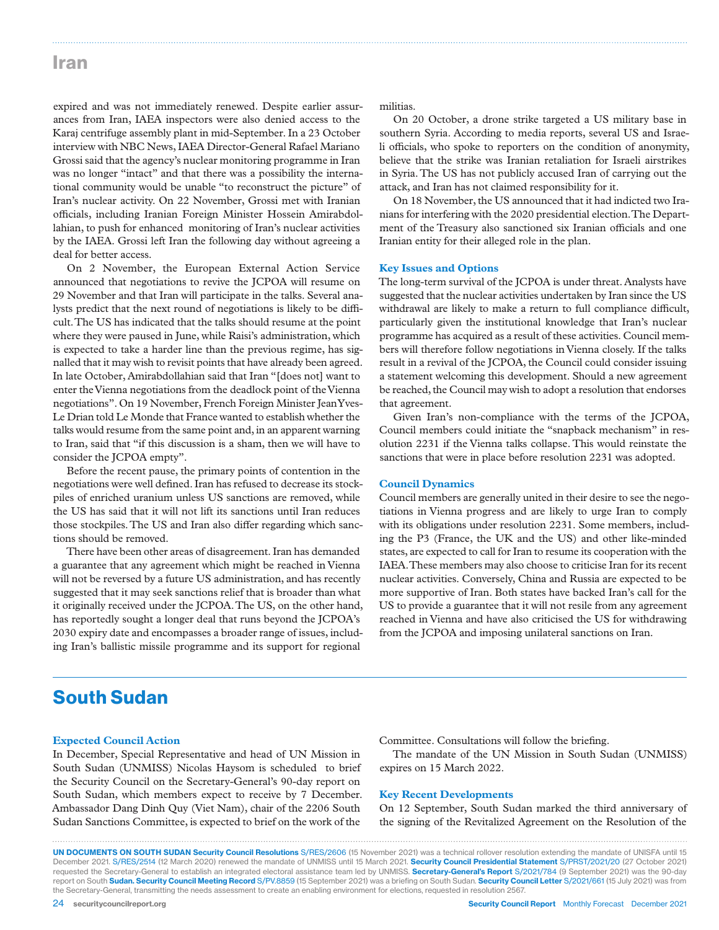### Iran

expired and was not immediately renewed. Despite earlier assurances from Iran, IAEA inspectors were also denied access to the Karaj centrifuge assembly plant in mid-September. In a 23 October interview with NBC News, IAEA Director-General Rafael Mariano Grossi said that the agency's nuclear monitoring programme in Iran was no longer "intact" and that there was a possibility the international community would be unable "to reconstruct the picture" of Iran's nuclear activity. On 22 November, Grossi met with Iranian officials, including Iranian Foreign Minister Hossein Amirabdollahian, to push for enhanced monitoring of Iran's nuclear activities by the IAEA. Grossi left Iran the following day without agreeing a deal for better access.

On 2 November, the European External Action Service announced that negotiations to revive the JCPOA will resume on 29 November and that Iran will participate in the talks. Several analysts predict that the next round of negotiations is likely to be difficult. The US has indicated that the talks should resume at the point where they were paused in June, while Raisi's administration, which is expected to take a harder line than the previous regime, has signalled that it may wish to revisit points that have already been agreed. In late October, Amirabdollahian said that Iran "[does not] want to enter the Vienna negotiations from the deadlock point of the Vienna negotiations". On 19 November, French Foreign Minister Jean Yves-Le Drian told Le Monde that France wanted to establish whether the talks would resume from the same point and, in an apparent warning to Iran, said that "if this discussion is a sham, then we will have to consider the JCPOA empty".

Before the recent pause, the primary points of contention in the negotiations were well defined. Iran has refused to decrease its stockpiles of enriched uranium unless US sanctions are removed, while the US has said that it will not lift its sanctions until Iran reduces those stockpiles. The US and Iran also differ regarding which sanctions should be removed.

There have been other areas of disagreement. Iran has demanded a guarantee that any agreement which might be reached in Vienna will not be reversed by a future US administration, and has recently suggested that it may seek sanctions relief that is broader than what it originally received under the JCPOA. The US, on the other hand, has reportedly sought a longer deal that runs beyond the JCPOA's 2030 expiry date and encompasses a broader range of issues, including Iran's ballistic missile programme and its support for regional

militias.

On 20 October, a drone strike targeted a US military base in southern Syria. According to media reports, several US and Israeli officials, who spoke to reporters on the condition of anonymity, believe that the strike was Iranian retaliation for Israeli airstrikes in Syria. The US has not publicly accused Iran of carrying out the attack, and Iran has not claimed responsibility for it.

On 18 November, the US announced that it had indicted two Iranians for interfering with the 2020 presidential election. The Department of the Treasury also sanctioned six Iranian officials and one Iranian entity for their alleged role in the plan.

#### **Key Issues and Options**

The long-term survival of the JCPOA is under threat. Analysts have suggested that the nuclear activities undertaken by Iran since the US withdrawal are likely to make a return to full compliance difficult, particularly given the institutional knowledge that Iran's nuclear programme has acquired as a result of these activities. Council members will therefore follow negotiations in Vienna closely. If the talks result in a revival of the JCPOA, the Council could consider issuing a statement welcoming this development. Should a new agreement be reached, the Council may wish to adopt a resolution that endorses that agreement.

Given Iran's non-compliance with the terms of the JCPOA, Council members could initiate the "snapback mechanism" in resolution 2231 if the Vienna talks collapse. This would reinstate the sanctions that were in place before resolution 2231 was adopted.

#### **Council Dynamics**

Council members are generally united in their desire to see the negotiations in Vienna progress and are likely to urge Iran to comply with its obligations under resolution 2231. Some members, including the P3 (France, the UK and the US) and other like-minded states, are expected to call for Iran to resume its cooperation with the IAEA. These members may also choose to criticise Iran for its recent nuclear activities. Conversely, China and Russia are expected to be more supportive of Iran. Both states have backed Iran's call for the US to provide a guarantee that it will not resile from any agreement reached in Vienna and have also criticised the US for withdrawing from the JCPOA and imposing unilateral sanctions on Iran.

### South Sudan

#### **Expected Council Action**

In December, Special Representative and head of UN Mission in South Sudan (UNMISS) Nicolas Haysom is scheduled to brief the Security Council on the Secretary-General's 90-day report on South Sudan, which members expect to receive by 7 December. Ambassador Dang Dinh Quy (Viet Nam), chair of the 2206 South Sudan Sanctions Committee, is expected to brief on the work of the

Committee. Consultations will follow the briefing.

The mandate of the UN Mission in South Sudan (UNMISS) expires on 15 March 2022.

#### **Key Recent Developments**

On 12 September, South Sudan marked the third anniversary of the signing of the Revitalized Agreement on the Resolution of the

UN DOCUMENTS ON SOUTH SUDAN Security Council Resolutions S/RES/2606 (15 November 2021) was a technical rollover resolution extending the mandate of UNISFA until 15 December 2021. S/RES/2514 (12 March 2020) renewed the mandate of UNMISS until 15 March 2021. Security Council Presidential Statement S/PRST/2021/20 (27 October 2021) requested the Secretary-General to establish an integrated electoral assistance team led by UNMISS. Secretary-General's Report S/2021/784 (9 September 2021) was the 90-day report on South Sudan. Security Council Meeting Record S/PV.8859 (15 September 2021) was a briefing on South Sudan. Security Council Letter S/2021/661 (15 July 2021) was from the Secretary-General, transmitting the needs assessment to create an enabling environment for elections, requested in resolution 2567.

24 security council report.org Security Council Report Monthly Forecast December 2021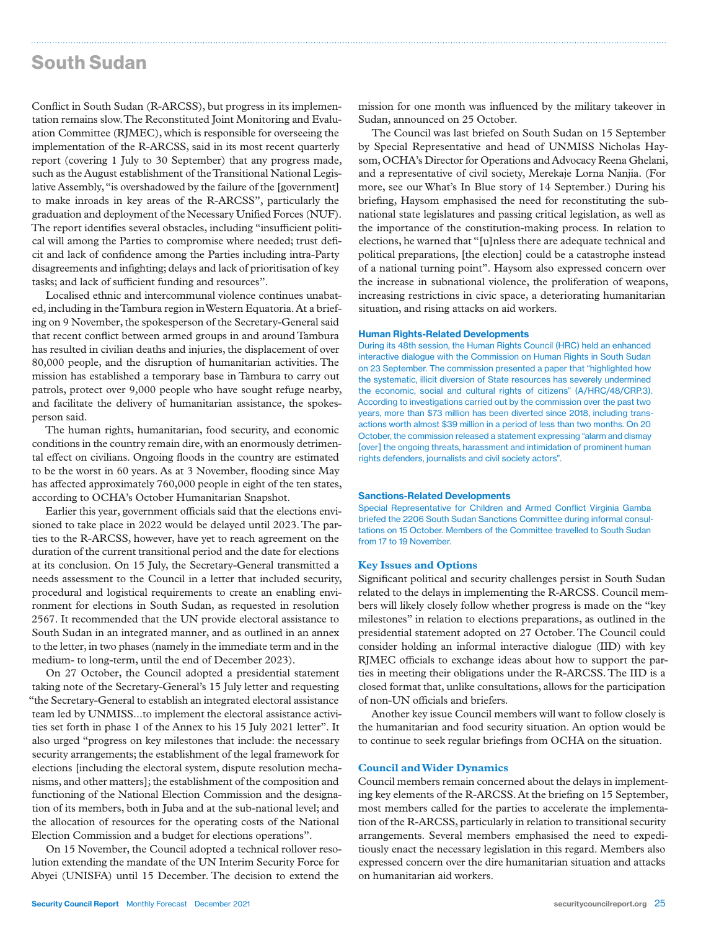### South Sudan

Conflict in South Sudan (R-ARCSS), but progress in its implementation remains slow. The Reconstituted Joint Monitoring and Evaluation Committee (RJMEC), which is responsible for overseeing the implementation of the R-ARCSS, said in its most recent quarterly report (covering 1 July to 30 September) that any progress made, such as the August establishment of the Transitional National Legislative Assembly, "is overshadowed by the failure of the [government] to make inroads in key areas of the R-ARCSS", particularly the graduation and deployment of the Necessary Unified Forces (NUF). The report identifies several obstacles, including "insufficient political will among the Parties to compromise where needed; trust deficit and lack of confidence among the Parties including intra-Party disagreements and infighting; delays and lack of prioritisation of key tasks; and lack of sufficient funding and resources".

Localised ethnic and intercommunal violence continues unabated, including in the Tambura region in Western Equatoria. At a briefing on 9 November, the spokesperson of the Secretary-General said that recent conflict between armed groups in and around Tambura has resulted in civilian deaths and injuries, the displacement of over 80,000 people, and the disruption of humanitarian activities. The mission has established a temporary base in Tambura to carry out patrols, protect over 9,000 people who have sought refuge nearby, and facilitate the delivery of humanitarian assistance, the spokesperson said.

The human rights, humanitarian, food security, and economic conditions in the country remain dire, with an enormously detrimental effect on civilians. Ongoing floods in the country are estimated to be the worst in 60 years. As at 3 November, flooding since May has affected approximately 760,000 people in eight of the ten states, according to OCHA's October Humanitarian Snapshot.

Earlier this year, government officials said that the elections envisioned to take place in 2022 would be delayed until 2023. The parties to the R-ARCSS, however, have yet to reach agreement on the duration of the current transitional period and the date for elections at its conclusion. On 15 July, the Secretary-General transmitted a needs assessment to the Council in a letter that included security, procedural and logistical requirements to create an enabling environment for elections in South Sudan, as requested in resolution 2567. It recommended that the UN provide electoral assistance to South Sudan in an integrated manner, and as outlined in an annex to the letter, in two phases (namely in the immediate term and in the medium- to long-term, until the end of December 2023).

On 27 October, the Council adopted a presidential statement taking note of the Secretary-General's 15 July letter and requesting "the Secretary-General to establish an integrated electoral assistance team led by UNMISS...to implement the electoral assistance activities set forth in phase 1 of the Annex to his 15 July 2021 letter". It also urged "progress on key milestones that include: the necessary security arrangements; the establishment of the legal framework for elections [including the electoral system, dispute resolution mechanisms, and other matters]; the establishment of the composition and functioning of the National Election Commission and the designation of its members, both in Juba and at the sub-national level; and the allocation of resources for the operating costs of the National Election Commission and a budget for elections operations".

On 15 November, the Council adopted a technical rollover resolution extending the mandate of the UN Interim Security Force for Abyei (UNISFA) until 15 December. The decision to extend the

mission for one month was influenced by the military takeover in Sudan, announced on 25 October.

The Council was last briefed on South Sudan on 15 September by Special Representative and head of UNMISS Nicholas Haysom, OCHA's Director for Operations and Advocacy Reena Ghelani, and a representative of civil society, Merekaje Lorna Nanjia. (For more, see our What's In Blue story of 14 September.) During his briefing, Haysom emphasised the need for reconstituting the subnational state legislatures and passing critical legislation, as well as the importance of the constitution-making process. In relation to elections, he warned that "[u]nless there are adequate technical and political preparations, [the election] could be a catastrophe instead of a national turning point". Haysom also expressed concern over the increase in subnational violence, the proliferation of weapons, increasing restrictions in civic space, a deteriorating humanitarian situation, and rising attacks on aid workers.

#### Human Rights-Related Developments

During its 48th session, the Human Rights Council (HRC) held an enhanced interactive dialogue with the Commission on Human Rights in South Sudan on 23 September. The commission presented a paper that "highlighted how the systematic, illicit diversion of State resources has severely undermined the economic, social and cultural rights of citizens" (A/HRC/48/CRP.3). According to investigations carried out by the commission over the past two years, more than \$73 million has been diverted since 2018, including transactions worth almost \$39 million in a period of less than two months. On 20 October, the commission released a statement expressing "alarm and dismay [over] the ongoing threats, harassment and intimidation of prominent human rights defenders, journalists and civil society actors".

#### Sanctions-Related Developments

Special Representative for Children and Armed Conflict Virginia Gamba briefed the 2206 South Sudan Sanctions Committee during informal consultations on 15 October. Members of the Committee travelled to South Sudan from 17 to 19 November.

#### **Key Issues and Options**

Significant political and security challenges persist in South Sudan related to the delays in implementing the R-ARCSS. Council members will likely closely follow whether progress is made on the "key milestones" in relation to elections preparations, as outlined in the presidential statement adopted on 27 October. The Council could consider holding an informal interactive dialogue (IID) with key RJMEC officials to exchange ideas about how to support the parties in meeting their obligations under the R-ARCSS. The IID is a closed format that, unlike consultations, allows for the participation of non-UN officials and briefers.

Another key issue Council members will want to follow closely is the humanitarian and food security situation. An option would be to continue to seek regular briefings from OCHA on the situation.

#### **Council and Wider Dynamics**

Council members remain concerned about the delays in implementing key elements of the R-ARCSS. At the briefing on 15 September, most members called for the parties to accelerate the implementation of the R-ARCSS, particularly in relation to transitional security arrangements. Several members emphasised the need to expeditiously enact the necessary legislation in this regard. Members also expressed concern over the dire humanitarian situation and attacks on humanitarian aid workers.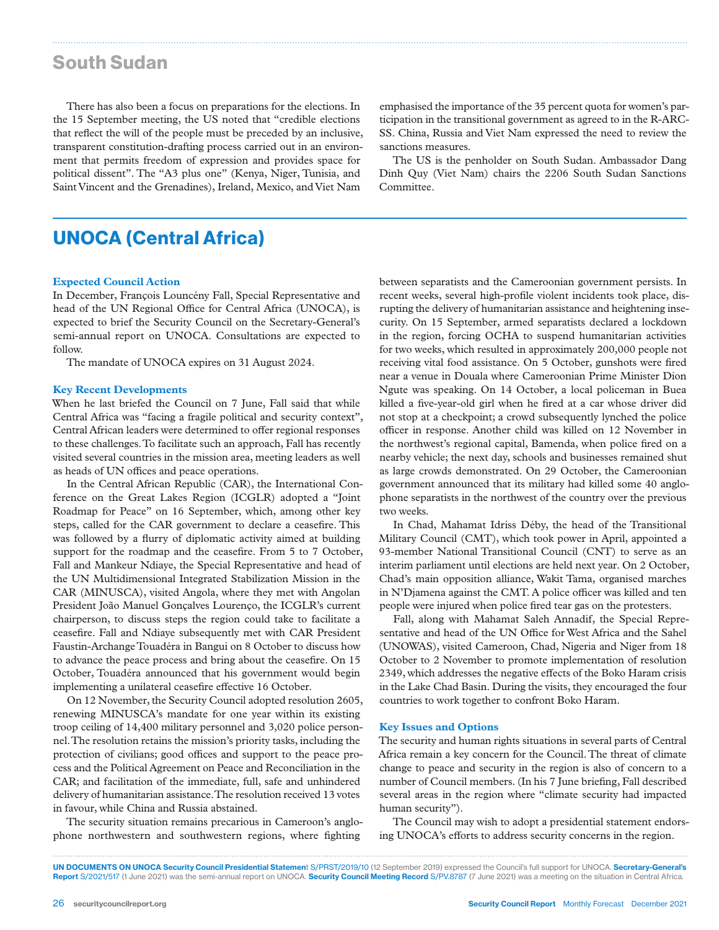### South Sudan

There has also been a focus on preparations for the elections. In the 15 September meeting, the US noted that "credible elections that reflect the will of the people must be preceded by an inclusive, transparent constitution-drafting process carried out in an environment that permits freedom of expression and provides space for political dissent". The "A3 plus one" (Kenya, Niger, Tunisia, and Saint Vincent and the Grenadines), Ireland, Mexico, and Viet Nam

emphasised the importance of the 35 percent quota for women's participation in the transitional government as agreed to in the R-ARC-SS. China, Russia and Viet Nam expressed the need to review the sanctions measures.

The US is the penholder on South Sudan. Ambassador Dang Dinh Quy (Viet Nam) chairs the 2206 South Sudan Sanctions Committee.

# UNOCA (Central Africa)

#### **Expected Council Action**

In December, François Louncény Fall, Special Representative and head of the UN Regional Office for Central Africa (UNOCA), is expected to brief the Security Council on the Secretary-General's semi-annual report on UNOCA. Consultations are expected to follow.

The mandate of UNOCA expires on 31 August 2024.

#### **Key Recent Developments**

When he last briefed the Council on 7 June, Fall said that while Central Africa was "facing a fragile political and security context", Central African leaders were determined to offer regional responses to these challenges. To facilitate such an approach, Fall has recently visited several countries in the mission area, meeting leaders as well as heads of UN offices and peace operations.

In the Central African Republic (CAR), the International Conference on the Great Lakes Region (ICGLR) adopted a "Joint Roadmap for Peace" on 16 September, which, among other key steps, called for the CAR government to declare a ceasefire. This was followed by a flurry of diplomatic activity aimed at building support for the roadmap and the ceasefire. From 5 to 7 October, Fall and Mankeur Ndiaye, the Special Representative and head of the UN Multidimensional Integrated Stabilization Mission in the CAR (MINUSCA), visited Angola, where they met with Angolan President João Manuel Gonçalves Lourenço, the ICGLR's current chairperson, to discuss steps the region could take to facilitate a ceasefire. Fall and Ndiaye subsequently met with CAR President Faustin-Archange Touadéra in Bangui on 8 October to discuss how to advance the peace process and bring about the ceasefire. On 15 October, Touadéra announced that his government would begin implementing a unilateral ceasefire effective 16 October.

On 12 November, the Security Council adopted resolution 2605, renewing MINUSCA's mandate for one year within its existing troop ceiling of 14,400 military personnel and 3,020 police personnel. The resolution retains the mission's priority tasks, including the protection of civilians; good offices and support to the peace process and the Political Agreement on Peace and Reconciliation in the CAR; and facilitation of the immediate, full, safe and unhindered delivery of humanitarian assistance. The resolution received 13 votes in favour, while China and Russia abstained.

The security situation remains precarious in Cameroon's anglophone northwestern and southwestern regions, where fighting

between separatists and the Cameroonian government persists. In recent weeks, several high-profile violent incidents took place, disrupting the delivery of humanitarian assistance and heightening insecurity. On 15 September, armed separatists declared a lockdown in the region, forcing OCHA to suspend humanitarian activities for two weeks, which resulted in approximately 200,000 people not receiving vital food assistance. On 5 October, gunshots were fired near a venue in Douala where Cameroonian Prime Minister Dion Ngute was speaking. On 14 October, a local policeman in Buea killed a five-year-old girl when he fired at a car whose driver did not stop at a checkpoint; a crowd subsequently lynched the police officer in response. Another child was killed on 12 November in the northwest's regional capital, Bamenda, when police fired on a nearby vehicle; the next day, schools and businesses remained shut as large crowds demonstrated. On 29 October, the Cameroonian government announced that its military had killed some 40 anglophone separatists in the northwest of the country over the previous two weeks.

In Chad, Mahamat Idriss Déby, the head of the Transitional Military Council (CMT), which took power in April, appointed a 93-member National Transitional Council (CNT) to serve as an interim parliament until elections are held next year. On 2 October, Chad's main opposition alliance, Wakit Tama, organised marches in N'Djamena against the CMT. A police officer was killed and ten people were injured when police fired tear gas on the protesters.

Fall, along with Mahamat Saleh Annadif, the Special Representative and head of the UN Office for West Africa and the Sahel (UNOWAS), visited Cameroon, Chad, Nigeria and Niger from 18 October to 2 November to promote implementation of resolution 2349, which addresses the negative effects of the Boko Haram crisis in the Lake Chad Basin. During the visits, they encouraged the four countries to work together to confront Boko Haram.

#### **Key Issues and Options**

The security and human rights situations in several parts of Central Africa remain a key concern for the Council. The threat of climate change to peace and security in the region is also of concern to a number of Council members. (In his 7 June briefing, Fall described several areas in the region where "climate security had impacted human security").

The Council may wish to adopt a presidential statement endorsing UNOCA's efforts to address security concerns in the region.

Report S/2021/517 (1 June 2021) was the semi-annual report on UNOCA. Security Council Meeting Record S/PV.8787 (7 June 2021) was a meeting on the situation in Central Africa.

UN DOCUMENTS ON UNOCA Security Council Presidential Statement S/PRST/2019/10 (12 September 2019) expressed the Council's full support for UNOCA. Secretary-General's